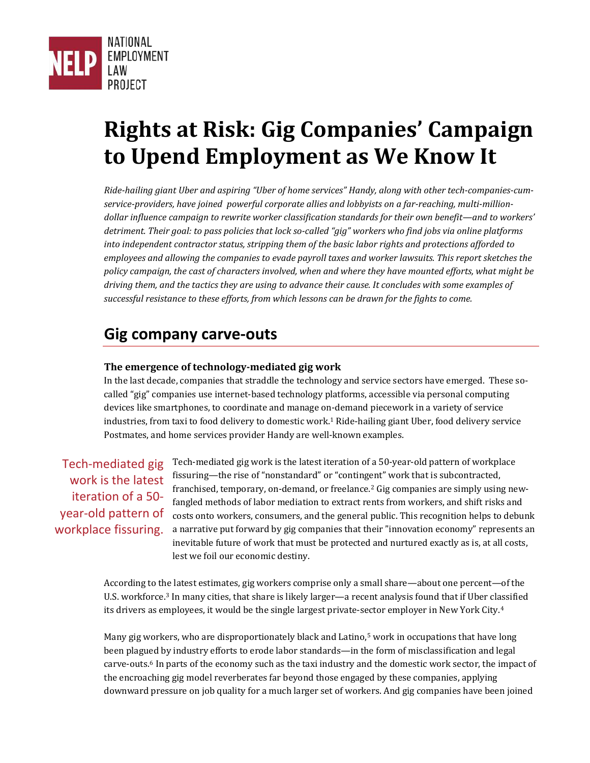

# **Rights at Risk: Gig Companies' Campaign to Upend Employment as We Know It**

*Ride-hailing giant Uber and aspiring "Uber of home services" Handy, along with other tech-companies-cumservice-providers, have joined powerful corporate allies and lobbyists on a far-reaching, multi-milliondollar influence campaign to rewrite worker classification standards for their own benefit—and to workers' detriment. Their goal: to pass policies that lock so-called "gig" workers who find jobs via online platforms into independent contractor status, stripping them of the basic labor rights and protections afforded to employees and allowing the companies to evade payroll taxes and worker lawsuits. This report sketches the policy campaign, the cast of characters involved, when and where they have mounted efforts, what might be driving them, and the tactics they are using to advance their cause. It concludes with some examples of successful resistance to these efforts, from which lessons can be drawn for the fights to come.*

## **Gig company carve-outs**

#### **The emergence of technology-mediated gig work**

In the last decade, companies that straddle the technology and service sectors have emerged. These socalled "gig" companies use internet-based technology platforms, accessible via personal computing devices like smartphones, to coordinate and manage on-demand piecework in a variety of service industries, from taxi to food delivery to domestic work. [1](#page-17-0) Ride-hailing giant Uber, food delivery service Postmates, and home services provider Handy are well-known examples.

Tech-mediated gig work is the latest iteration of a 50 year-old pattern of workplace fissuring. Tech-mediated gig work is the latest iteration of a 50-year-old pattern of workplace fissuring—the rise of "nonstandard" or "contingent" work that is subcontracted, franchised, temporary, on-demand, or freelance. [2](#page-17-1) Gig companies are simply using newfangled methods of labor mediation to extract rents from workers, and shift risks and costs onto workers, consumers, and the general public. This recognition helps to debunk a narrative put forward by gig companies that their "innovation economy" represents an inevitable future of work that must be protected and nurtured exactly as is, at all costs, lest we foil our economic destiny.

According to the latest estimates, gig workers comprise only a small share—about one percent—of the U.S. workforce.[3](#page-17-2) In many cities, that share is likely larger—a recent analysis found that if Uber classified its drivers as employees, it would be the single largest private-sector employer in New York City.[4](#page-17-3)

Many gig workers, who are disproportionately black and Latino, [5](#page-17-4) work in occupations that have long been plagued by industry efforts to erode labor standards—in the form of misclassification and legal carve-outs.[6](#page-17-5) In parts of the economy such as the taxi industry and the domestic work sector, the impact of the encroaching gig model reverberates far beyond those engaged by these companies, applying downward pressure on job quality for a much larger set of workers. And gig companies have been joined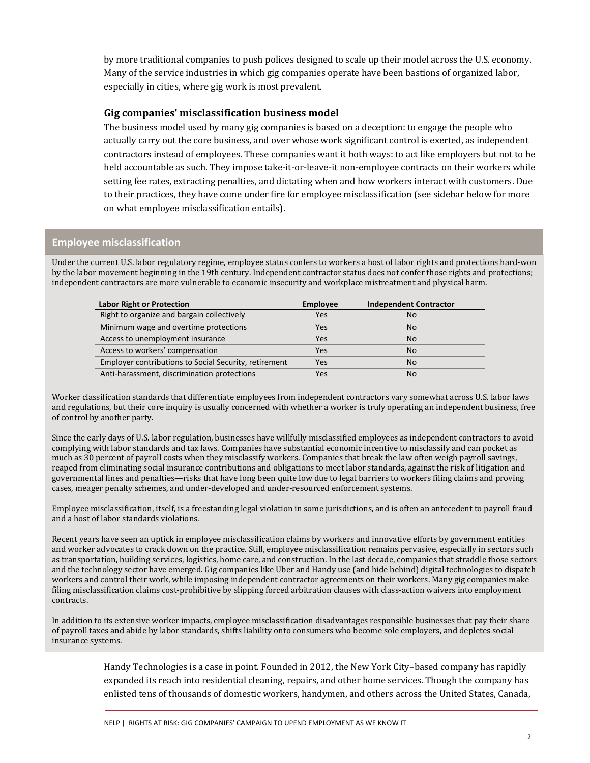by more traditional companies to push polices designed to scale up their model across the U.S. economy. Many of the service industries in which gig companies operate have been bastions of organized labor, especially in cities, where gig work is most prevalent.

#### **Gig companies' misclassification business model**

The business model used by many gig companies is based on a deception: to engage the people who actually carry out the core business, and over whose work significant control is exerted, as independent contractors instead of employees. These companies want it both ways: to act like employers but not to be held accountable as such. They impose take-it-or-leave-it non-employee contracts on their workers while setting fee rates, extracting penalties, and dictating when and how workers interact with customers. Due to their practices, they have come under fire for employee misclassification (see sidebar below for more on what employee misclassification entails).

#### **Employee misclassification**

Under the current U.S. labor regulatory regime, employee status confers to workers a host of labor rights and protections hard-won by the labor movement beginning in the 19th century. Independent contractor status does not confer those rights and protections; independent contractors are more vulnerable to economic insecurity and workplace mistreatment and physical harm.

| <b>Labor Right or Protection</b>                             | <b>Employee</b> | <b>Independent Contractor</b> |
|--------------------------------------------------------------|-----------------|-------------------------------|
| Right to organize and bargain collectively                   | Yes             | <b>No</b>                     |
| Minimum wage and overtime protections                        | Yes             | <b>No</b>                     |
| Access to unemployment insurance                             | Yes             | <b>No</b>                     |
| Access to workers' compensation                              | Yes             | <b>No</b>                     |
| <b>Employer contributions to Social Security, retirement</b> | Yes             | <b>No</b>                     |
| Anti-harassment, discrimination protections                  | Yes             | <b>No</b>                     |

Worker classification standards that differentiate employees from independent contractors vary somewhat across U.S. labor laws and regulations, but their core inquiry is usually concerned with whether a worker is truly operating an independent business, free of control by another party.

Since the early days of U.S. labor regulation, businesses have willfully misclassified employees as independent contractors to avoid complying with labor standards and tax laws. Companies have substantial economic incentive to misclassify and can pocket as much as 30 percent of payroll costs when they misclassify workers. Companies that break the law often weigh payroll savings, reaped from eliminating social insurance contributions and obligations to meet labor standards, against the risk of litigation and governmental fines and penalties—risks that have long been quite low due to legal barriers to workers filing claims and proving cases, meager penalty schemes, and under-developed and under-resourced enforcement systems.

Employee misclassification, itself, is a freestanding legal violation in some jurisdictions, and is often an antecedent to payroll fraud and a host of labor standards violations.

Recent years have seen an uptick in employee misclassification claims by workers and innovative efforts by government entities and worker advocates to crack down on the practice. Still, employee misclassification remains pervasive, especially in sectors such as transportation, building services, logistics, home care, and construction. In the last decade, companies that straddle those sectors and the technology sector have emerged. Gig companies like Uber and Handy use (and hide behind) digital technologies to dispatch workers and control their work, while imposing independent contractor agreements on their workers. Many gig companies make filing misclassification claims cost-prohibitive by slipping forced arbitration clauses with class-action waivers into employment contracts.

In addition to its extensive worker impacts, employee misclassification disadvantages responsible businesses that pay their share of payroll taxes and abide by labor standards, shifts liability onto consumers who become sole employers, and depletes social insurance systems.

> Handy Technologies is a case in point. Founded in 2012, the New York City–based company has rapidly expanded its reach into residential cleaning, repairs, and other home services. Though the company has enlisted tens of thousands of domestic workers, handymen, and others across the United States, Canada,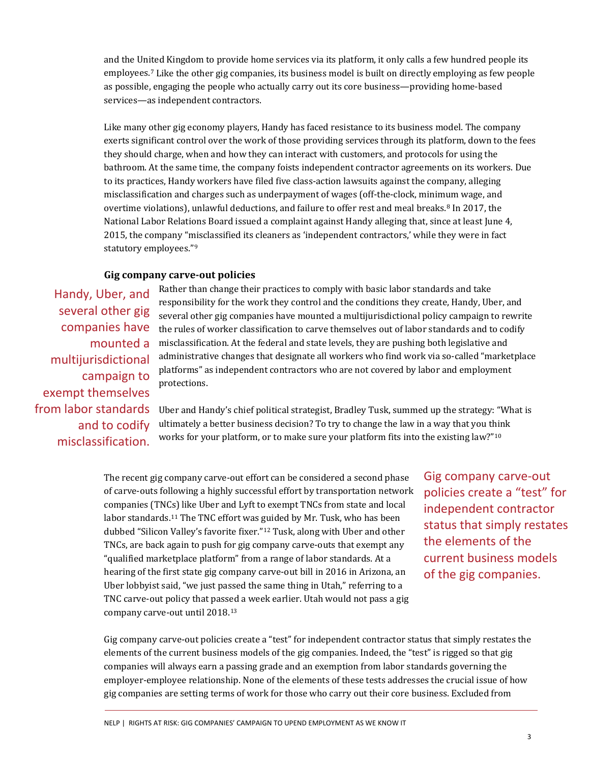and the United Kingdom to provide home services via its platform, it only calls a few hundred people its employees.[7](#page-18-0) Like the other gig companies, its business model is built on directly employing as few people as possible, engaging the people who actually carry out its core business—providing home-based services—as independent contractors.

Like many other gig economy players, Handy has faced resistance to its business model. The company exerts significant control over the work of those providing services through its platform, down to the fees they should charge, when and how they can interact with customers, and protocols for using the bathroom. At the same time, the company foists independent contractor agreements on its workers. Due to its practices, Handy workers have filed five class-action lawsuits against the company, alleging misclassification and charges such as underpayment of wages (off-the-clock, minimum wage, and overtime violations), unlawful deductions, and failure to offer rest and meal breaks.<sup>[8](#page-18-1)</sup> In 2017, the National Labor Relations Board issued a complaint against Handy alleging that, since at least June 4, 2015, the company "misclassified its cleaners as 'independent contractors,' while they were in fact statutory employees."[9](#page-18-2)

#### **Gig company carve-out policies**

Handy, Uber, and several other gig companies have mounted a multijurisdictional campaign to exempt themselves from labor standards and to codify misclassification.

Rather than change their practices to comply with basic labor standards and take responsibility for the work they control and the conditions they create, Handy, Uber, and several other gig companies have mounted a multijurisdictional policy campaign to rewrite the rules of worker classification to carve themselves out of labor standards and to codify misclassification. At the federal and state levels, they are pushing both legislative and administrative changes that designate all workers who find work via so-called "marketplace platforms" as independent contractors who are not covered by labor and employment protections.

Uber and Handy's chief political strategist, Bradley Tusk, summed up the strategy: "What is ultimately a better business decision? To try to change the law in a way that you think works for your platform, or to make sure your platform fits into the existing law?" [10](#page-18-3)

The recent gig company carve-out effort can be considered a second phase of carve-outs following a highly successful effort by transportation network companies (TNCs) like Uber and Lyft to exempt TNCs from state and local labor standards. [11](#page-18-4) The TNC effort was guided by Mr. Tusk, who has been dubbed "Silicon Valley's favorite fixer."[12](#page-18-5) Tusk, along with Uber and other TNCs, are back again to push for gig company carve-outs that exempt any "qualified marketplace platform" from a range of labor standards. At a hearing of the first state gig company carve-out bill in 2016 in Arizona, an Uber lobbyist said, "we just passed the same thing in Utah," referring to a TNC carve-out policy that passed a week earlier. Utah would not pass a gig company carve-out until 2018. [13](#page-18-6)

Gig company carve-out policies create a "test" for independent contractor status that simply restates the elements of the current business models of the gig companies.

Gig company carve-out policies create a "test" for independent contractor status that simply restates the elements of the current business models of the gig companies. Indeed, the "test" is rigged so that gig companies will always earn a passing grade and an exemption from labor standards governing the employer-employee relationship. None of the elements of these tests addresses the crucial issue of how gig companies are setting terms of work for those who carry out their core business. Excluded from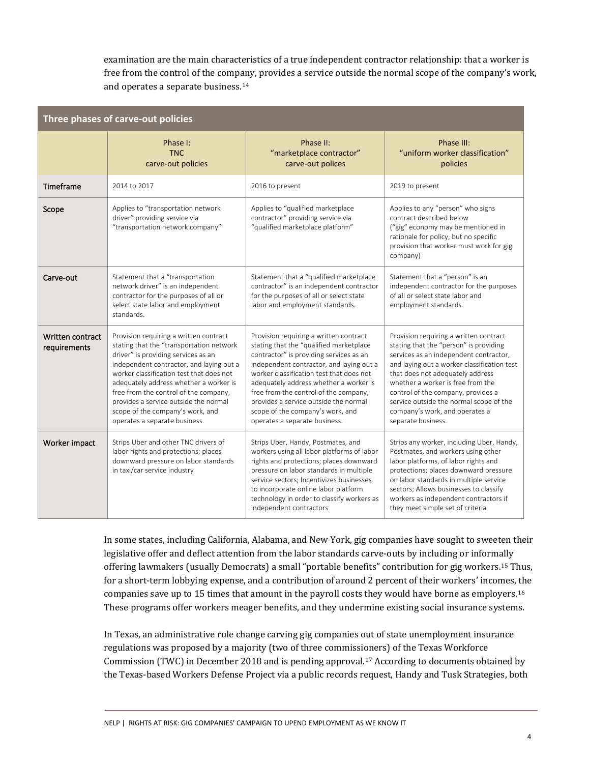examination are the main characteristics of a true independent contractor relationship: that a worker is free from the control of the company, provides a service outside the normal scope of the company's work, and operates a separate business.[14](#page-18-7)

| Three phases of carve-out policies |                                                                                                                                                                                                                                                                                                                                                                                                                    |                                                                                                                                                                                                                                                                                                                                                                                                                       |                                                                                                                                                                                                                                                                                                                                                                                             |  |  |  |  |
|------------------------------------|--------------------------------------------------------------------------------------------------------------------------------------------------------------------------------------------------------------------------------------------------------------------------------------------------------------------------------------------------------------------------------------------------------------------|-----------------------------------------------------------------------------------------------------------------------------------------------------------------------------------------------------------------------------------------------------------------------------------------------------------------------------------------------------------------------------------------------------------------------|---------------------------------------------------------------------------------------------------------------------------------------------------------------------------------------------------------------------------------------------------------------------------------------------------------------------------------------------------------------------------------------------|--|--|--|--|
|                                    | Phase I:<br><b>TNC</b><br>carve-out policies                                                                                                                                                                                                                                                                                                                                                                       | Phase II:<br>"marketplace contractor"<br>carve-out polices                                                                                                                                                                                                                                                                                                                                                            | Phase III:<br>"uniform worker classification"<br>policies                                                                                                                                                                                                                                                                                                                                   |  |  |  |  |
| Timeframe                          | 2014 to 2017                                                                                                                                                                                                                                                                                                                                                                                                       | 2016 to present                                                                                                                                                                                                                                                                                                                                                                                                       | 2019 to present                                                                                                                                                                                                                                                                                                                                                                             |  |  |  |  |
| Scope                              | Applies to "transportation network<br>driver" providing service via<br>"transportation network company"                                                                                                                                                                                                                                                                                                            | Applies to "qualified marketplace<br>contractor" providing service via<br>"qualified marketplace platform"                                                                                                                                                                                                                                                                                                            | Applies to any "person" who signs<br>contract described below<br>("gig" economy may be mentioned in<br>rationale for policy, but no specific<br>provision that worker must work for gig<br>company)                                                                                                                                                                                         |  |  |  |  |
| Carve-out                          | Statement that a "transportation<br>network driver" is an independent<br>contractor for the purposes of all or<br>select state labor and employment<br>standards.                                                                                                                                                                                                                                                  | Statement that a "qualified marketplace<br>contractor" is an independent contractor<br>for the purposes of all or select state<br>labor and employment standards.                                                                                                                                                                                                                                                     | Statement that a "person" is an<br>independent contractor for the purposes<br>of all or select state labor and<br>employment standards.                                                                                                                                                                                                                                                     |  |  |  |  |
| Written contract<br>requirements   | Provision requiring a written contract<br>stating that the "transportation network<br>driver" is providing services as an<br>independent contractor, and laying out a<br>worker classification test that does not<br>adequately address whether a worker is<br>free from the control of the company,<br>provides a service outside the normal<br>scope of the company's work, and<br>operates a separate business. | Provision requiring a written contract<br>stating that the "qualified marketplace<br>contractor" is providing services as an<br>independent contractor, and laying out a<br>worker classification test that does not<br>adequately address whether a worker is<br>free from the control of the company,<br>provides a service outside the normal<br>scope of the company's work, and<br>operates a separate business. | Provision requiring a written contract<br>stating that the "person" is providing<br>services as an independent contractor,<br>and laying out a worker classification test<br>that does not adequately address<br>whether a worker is free from the<br>control of the company, provides a<br>service outside the normal scope of the<br>company's work, and operates a<br>separate business. |  |  |  |  |
| Worker impact                      | Strips Uber and other TNC drivers of<br>labor rights and protections; places<br>downward pressure on labor standards<br>in taxi/car service industry                                                                                                                                                                                                                                                               | Strips Uber, Handy, Postmates, and<br>workers using all labor platforms of labor<br>rights and protections; places downward<br>pressure on labor standards in multiple<br>service sectors; Incentivizes businesses<br>to incorporate online labor platform<br>technology in order to classify workers as<br>independent contractors                                                                                   | Strips any worker, including Uber, Handy,<br>Postmates, and workers using other<br>labor platforms, of labor rights and<br>protections; places downward pressure<br>on labor standards in multiple service<br>sectors; Allows businesses to classify<br>workers as independent contractors if<br>they meet simple set of criteria                                                           |  |  |  |  |

In some states, including California, Alabama, and New York, gig companies have sought to sweeten their legislative offer and deflect attention from the labor standards carve-outs by including or informally offering lawmakers (usually Democrats) a small "portable benefits" contribution for gig workers.[15](#page-18-8) Thus, for a short-term lobbying expense, and a contribution of around 2 percent of their workers' incomes, the companies save up to 15 times that amount in the payroll costs they would have borne as employers.[16](#page-18-9) These programs offer workers meager benefits, and they undermine existing social insurance systems.

In Texas, an administrative rule change carving gig companies out of state unemployment insurance regulations was proposed by a majority (two of three commissioners) of the Texas Workforce Commission (TWC) in December 2018 and is pending approval.[17](#page-18-10) According to documents obtained by the Texas-based Workers Defense Project via a public records request, Handy and Tusk Strategies, both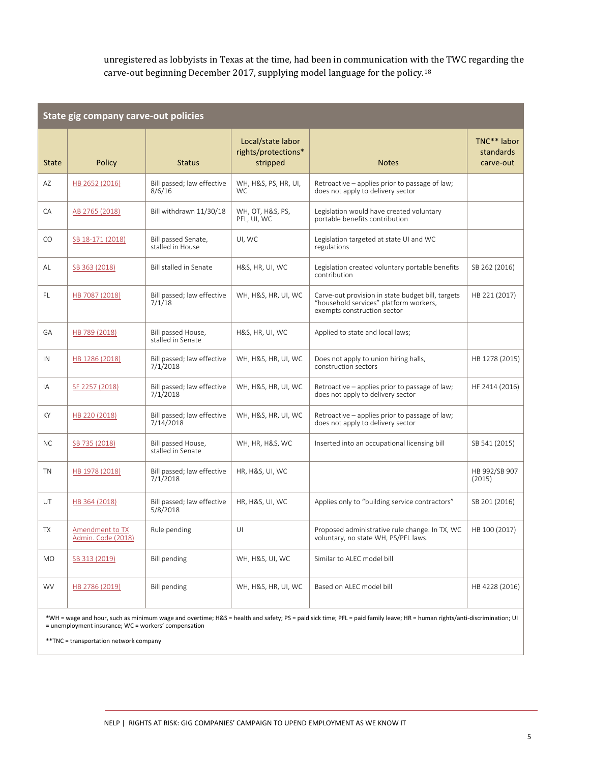unregistered as lobbyists in Texas at the time, had been in communication with the TWC regarding the carve-out beginning December 2017, supplying model language for the policy.[18](#page-18-11)

| State gig company carve-out policies  |                                         |                                                      |                                                                                                                            |                                       |  |  |  |  |
|---------------------------------------|-----------------------------------------|------------------------------------------------------|----------------------------------------------------------------------------------------------------------------------------|---------------------------------------|--|--|--|--|
| <b>Policy</b>                         | <b>Status</b>                           | Local/state labor<br>rights/protections*<br>stripped | <b>Notes</b>                                                                                                               | TNC** labor<br>standards<br>carve-out |  |  |  |  |
| HB 2652 (2016)                        | Bill passed; law effective<br>8/6/16    | WH, H&S, PS, HR, UI,<br><b>WC</b>                    | Retroactive – applies prior to passage of law;<br>does not apply to delivery sector                                        |                                       |  |  |  |  |
| AB 2765 (2018)                        | Bill withdrawn 11/30/18                 | WH, OT, H&S, PS,<br>PFL, UI, WC                      | Legislation would have created voluntary<br>portable benefits contribution                                                 |                                       |  |  |  |  |
| SB 18-171 (2018)                      | Bill passed Senate,<br>stalled in House | UI, WC                                               | Legislation targeted at state UI and WC<br>regulations                                                                     |                                       |  |  |  |  |
| SB 363 (2018)                         | Bill stalled in Senate                  | H&S, HR, UI, WC                                      | Legislation created voluntary portable benefits<br>contribution                                                            | SB 262 (2016)                         |  |  |  |  |
| HB 7087 (2018)                        | Bill passed; law effective<br>7/1/18    | WH, H&S, HR, UI, WC                                  | Carve-out provision in state budget bill, targets<br>"household services" platform workers,<br>exempts construction sector | HB 221 (2017)                         |  |  |  |  |
| HB 789 (2018)                         | Bill passed House,<br>stalled in Senate | H&S, HR, UI, WC                                      | Applied to state and local laws;                                                                                           |                                       |  |  |  |  |
| HB 1286 (2018)                        | Bill passed; law effective<br>7/1/2018  | WH, H&S, HR, UI, WC                                  | Does not apply to union hiring halls,<br>construction sectors                                                              | HB 1278 (2015)                        |  |  |  |  |
| SF 2257 (2018)                        | Bill passed; law effective<br>7/1/2018  | WH, H&S, HR, UI, WC                                  | Retroactive – applies prior to passage of law;<br>does not apply to delivery sector                                        | HF 2414 (2016)                        |  |  |  |  |
| HB 220 (2018)                         | Bill passed; law effective<br>7/14/2018 | WH, H&S, HR, UI, WC                                  | Retroactive – applies prior to passage of law;<br>does not apply to delivery sector                                        |                                       |  |  |  |  |
| SB 735 (2018)                         | Bill passed House,<br>stalled in Senate | WH, HR, H&S, WC                                      | Inserted into an occupational licensing bill                                                                               | SB 541 (2015)                         |  |  |  |  |
| HB 1978 (2018)                        | Bill passed; law effective<br>7/1/2018  | HR, H&S, UI, WC                                      |                                                                                                                            | HB 992/SB 907<br>(2015)               |  |  |  |  |
| HB 364 (2018)                         | Bill passed; law effective<br>5/8/2018  | HR, H&S, UI, WC                                      | Applies only to "building service contractors"                                                                             | SB 201 (2016)                         |  |  |  |  |
| Amendment to TX<br>Admin. Code (2018) | Rule pending                            | U                                                    | Proposed administrative rule change. In TX, WC<br>voluntary, no state WH, PS/PFL laws.                                     | HB 100 (2017)                         |  |  |  |  |
| SB 313 (2019)                         | <b>Bill pending</b>                     | WH, H&S, UI, WC                                      | Similar to ALEC model bill                                                                                                 |                                       |  |  |  |  |
| HB 2786 (2019)                        | <b>Bill pending</b>                     | WH, H&S, HR, UI, WC                                  | Based on ALEC model bill                                                                                                   | HB 4228 (2016)                        |  |  |  |  |
|                                       |                                         |                                                      |                                                                                                                            |                                       |  |  |  |  |

\*WH = wage and hour, such as minimum wage and overtime; H&S = health and safety; PS = paid sick time; PFL = paid family leave; HR = human rights/anti-discrimination; UI = unemployment insurance; WC = workers' compensation

\*\*TNC = transportation network company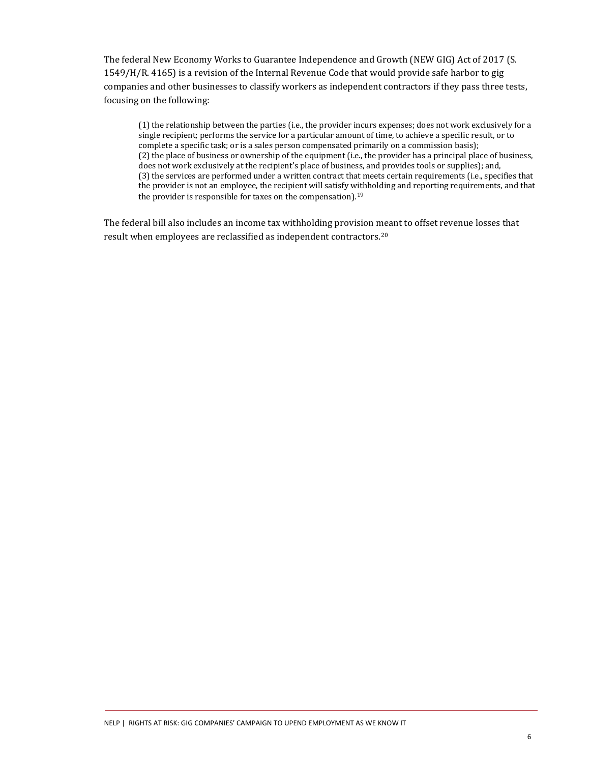The federal New Economy Works to Guarantee Independence and Growth (NEW GIG) Act of 2017 (S. 1549/H/R. 4165) is a revision of the Internal Revenue Code that would provide safe harbor to gig companies and other businesses to classify workers as independent contractors if they pass three tests, focusing on the following:

(1) the relationship between the parties (i.e., the provider incurs expenses; does not work exclusively for a single recipient; performs the service for a particular amount of time, to achieve a specific result, or to complete a specific task; or is a sales person compensated primarily on a commission basis); (2) the place of business or ownership of the equipment (i.e., the provider has a principal place of business, does not work exclusively at the recipient's place of business, and provides tools or supplies); and, (3) the services are performed under a written contract that meets certain requirements (i.e., specifies that the provider is not an employee, the recipient will satisfy withholding and reporting requirements, and that the provider is responsible for taxes on the compensation).<sup>[19](#page-18-12)</sup>

The federal bill also includes an income tax withholding provision meant to offset revenue losses that result when employees are reclassified as independent contractors.[20](#page-18-13)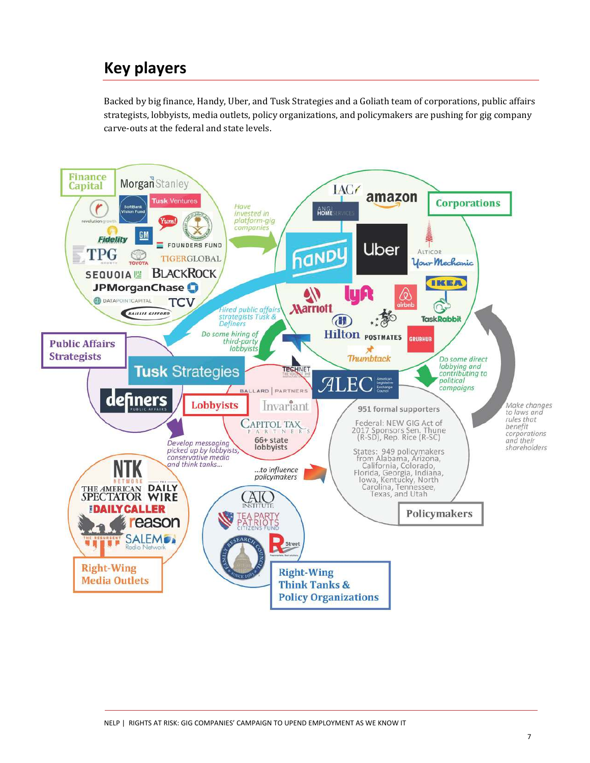## **Key players**

Backed by big finance, Handy, Uber, and Tusk Strategies and a Goliath team of corporations, public affairs strategists, lobbyists, media outlets, policy organizations, and policymakers are pushing for gig company carve-outs at the federal and state levels.

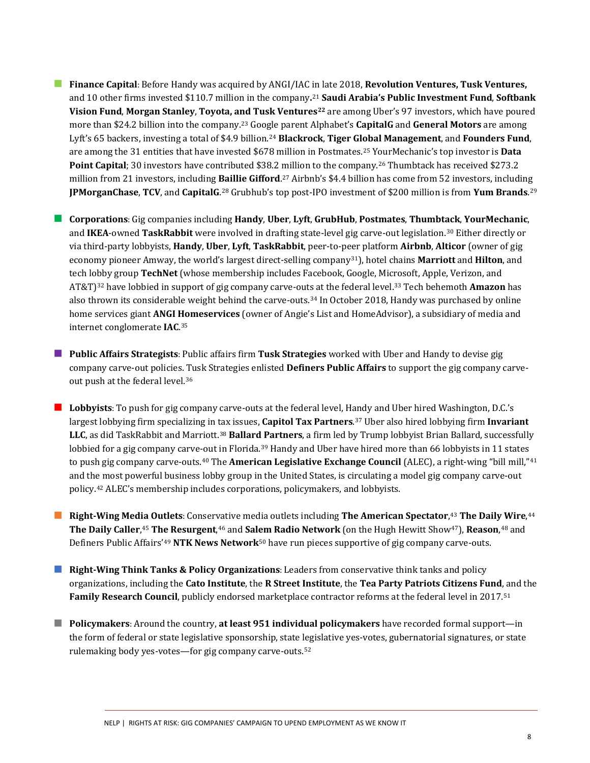- **Finance Capital**: Before Handy was acquired by ANGI/IAC in late 2018, **Revolution Ventures, Tusk Ventures,**  and 10 other firms invested \$110.7 million in the company**.** [21](#page-18-14) **Saudi Arabia's Public Investment Fund**, **Softbank Vision Fund**, **Morgan Stanley**, **Toyota, and Tusk Ventures[22](#page-18-15)** are among Uber's 97 investors, which have poured more than \$24.2 billion into the company. [23](#page-18-16) Google parent Alphabet's **CapitalG** and **General Motors** are among Lyft's 65 backers, investing a total of \$4.9 billion.[24](#page-18-17) **Blackrock**, **Tiger Global Management**, and **Founders Fund**, are among the 31 entities that have invested \$678 million in Postmates.[25](#page-18-18) YourMechanic's top investor is **Data Point Capital**; 30 investors have contributed \$38.2 million to the company. [26](#page-18-19) Thumbtack has received \$273.2 million from 21 investors, including **Baillie Gifford**.<sup>[27](#page-18-20)</sup> Airbnb's \$4.4 billion has come from 52 investors, including **JPMorganChase**, **TCV**, and **CapitalG**. [28](#page-18-21) Grubhub's top post-IPO investment of \$200 million is from **Yum Brands**. [29](#page-18-22)
- **Corporations**: Gig companies including **Handy**, **Uber**, **Lyft**, **GrubHub**, **Postmates**, **Thumbtack**, **YourMechanic**, and **IKEA**-owned **TaskRabbit** were involved in drafting state-level gig carve-out legislation.[30](#page-19-0) Either directly or via third-party lobbyists, **Handy**, **Uber**, **Lyft**, **TaskRabbit**, peer-to-peer platform **Airbnb**, **Alticor** (owner of gig economy pioneer Amway, the world's largest direct-selling company[31](#page-19-1)), hotel chains **Marriott** and **Hilton**, and tech lobby group **TechNet** (whose membership includes Facebook, Google, Microsoft, Apple, Verizon, and AT&T)[32](#page-19-2) have lobbied in support of gig company carve-outs at the federal level.[33](#page-19-3) Tech behemoth **Amazon** has also thrown its considerable weight behind the carve-outs. [34](#page-19-4) In October 2018, Handy was purchased by online home services giant **ANGI Homeservices** (owner of Angie's List and HomeAdvisor), a subsidiary of media and internet conglomerate **IAC**. [35](#page-19-5)
- **Public Affairs Strategists**: Public affairs firm **Tusk Strategies** worked with Uber and Handy to devise gig company carve-out policies. Tusk Strategies enlisted **Definers Public Affairs** to support the gig company carveout push at the federal level.[36](#page-19-6)
- **Lobbyists**: To push for gig company carve-outs at the federal level, Handy and Uber hired Washington, D.C.'s largest lobbying firm specializing in tax issues, **Capitol Tax Partners**. [37](#page-19-7) Uber also hired lobbying firm **Invariant LLC**, as did TaskRabbit and Marriott.[38](#page-19-8) **Ballard Partners**, a firm led by Trump lobbyist Brian Ballard, successfully lobbied for a gig company carve-out in Florida.<sup>[39](#page-19-9)</sup> Handy and Uber have hired more than 66 lobbyists in 11 states to push gig company carve-outs.[40](#page-19-10) The **American Legislative Exchange Council** (ALEC), a right-wing "bill mill,"[41](#page-19-11) and the most powerful business lobby group in the United States, is circulating a model gig company carve-out policy.[42](#page-19-12) ALEC's membership includes corporations, policymakers, and lobbyists.
- **Right-Wing Media Outlets**: Conservative media outlets including **The American Spectator**, [43](#page-19-13) **The Daily Wire**, [44](#page-19-14) **The Daily Caller**, [45](#page-19-15) **The Resurgent**, [46](#page-19-16) and **Salem Radio Network** (on the Hugh Hewitt Show[47](#page-19-17)), **Reason**, [48](#page-19-18) and Definers Public Affairs'[49](#page-19-19) **NTK News Network**[50](#page-19-20) have run pieces supportive of gig company carve-outs.
- **Right-Wing Think Tanks & Policy Organizations**: Leaders from conservative think tanks and policy organizations, including the **Cato Institute**, the **R Street Institute**, the **Tea Party Patriots Citizens Fund**, and the **Family Research Council**, publicly endorsed marketplace contractor reforms at the federal level in 2017.[51](#page-19-21)
- **Policymakers**: Around the country, at least 951 individual policymakers have recorded formal support—in the form of federal or state legislative sponsorship, state legislative yes-votes, gubernatorial signatures, or state rulemaking body yes-votes—for gig company carve-outs.[52](#page-19-22)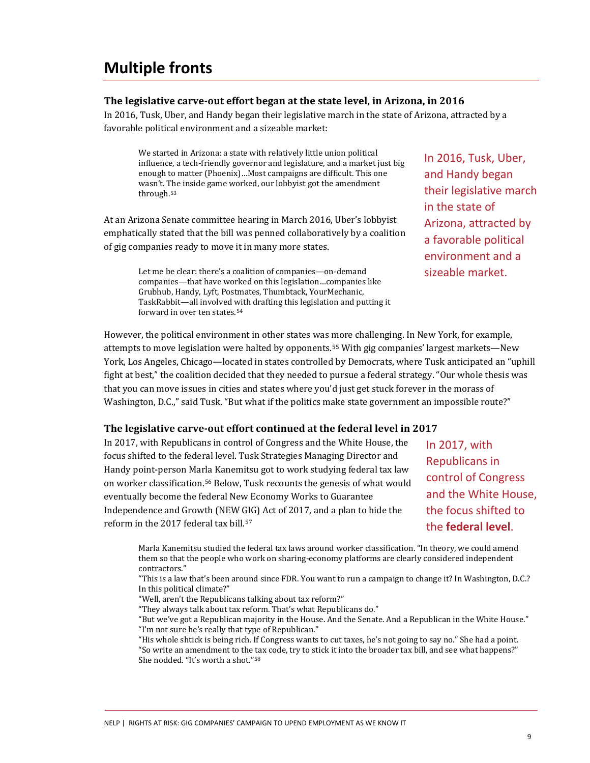### **Multiple fronts**

#### **The legislative carve-out effort began at the state level, in Arizona, in 2016**

In 2016, Tusk, Uber, and Handy began their legislative march in the state of Arizona, attracted by a favorable political environment and a sizeable market:

We started in Arizona: a state with relatively little union political influence, a tech-friendly governor and legislature, and a market just big enough to matter (Phoenix)…Most campaigns are difficult. This one wasn't. The inside game worked, our lobbyist got the amendment through.[53](#page-19-23)

At an Arizona Senate committee hearing in March 2016, Uber's lobbyist emphatically stated that the bill was penned collaboratively by a coalition of gig companies ready to move it in many more states.

> Let me be clear: there's a coalition of companies—on-demand companies—that have worked on this legislation…companies like Grubhub, Handy, Lyft, Postmates, Thumbtack, YourMechanic, TaskRabbit—all involved with drafting this legislation and putting it forward in over ten states.[54](#page-19-24)

In 2016, Tusk, Uber, and Handy began their legislative march in the state of Arizona, attracted by a favorable political environment and a sizeable market.

However, the political environment in other states was more challenging. In New York, for example, attempts to move legislation were halted by opponents. [55](#page-19-25) With gig companies' largest markets—New York, Los Angeles, Chicago—located in states controlled by Democrats, where Tusk anticipated an "uphill fight at best," the coalition decided that they needed to pursue a federal strategy. "Our whole thesis was that you can move issues in cities and states where you'd just get stuck forever in the morass of Washington, D.C.," said Tusk. "But what if the politics make state government an impossible route?"

#### **The legislative carve-out effort continued at the federal level in 2017**

In 2017, with Republicans in control of Congress and the White House, the focus shifted to the federal level. Tusk Strategies Managing Director and Handy point-person Marla Kanemitsu got to work studying federal tax law on worker classification.[56](#page-19-26) Below, Tusk recounts the genesis of what would eventually become the federal New Economy Works to Guarantee Independence and Growth (NEW GIG) Act of 2017, and a plan to hide the reform in the 2017 federal tax bill.<sup>[57](#page-19-27)</sup>

In 2017, with Republicans in control of Congress and the White House, the focus shifted to the **federal level**.

Marla Kanemitsu studied the federal tax laws around worker classification. "In theory, we could amend them so that the people who work on sharing-economy platforms are clearly considered independent contractors."

"This is a law that's been around since FDR. You want to run a campaign to change it? In Washington, D.C.? In this political climate?"

"Well, aren't the Republicans talking about tax reform?"

"They always talk about tax reform. That's what Republicans do."

"But we've got a Republican majority in the House. And the Senate. And a Republican in the White House." "I'm not sure he's really that type of Republican."

"His whole shtick is being rich. If Congress wants to cut taxes, he's not going to say no." She had a point. "So write an amendment to the tax code, try to stick it into the broader tax bill, and see what happens?" She nodded. "It's worth a shot."[58](#page-20-0)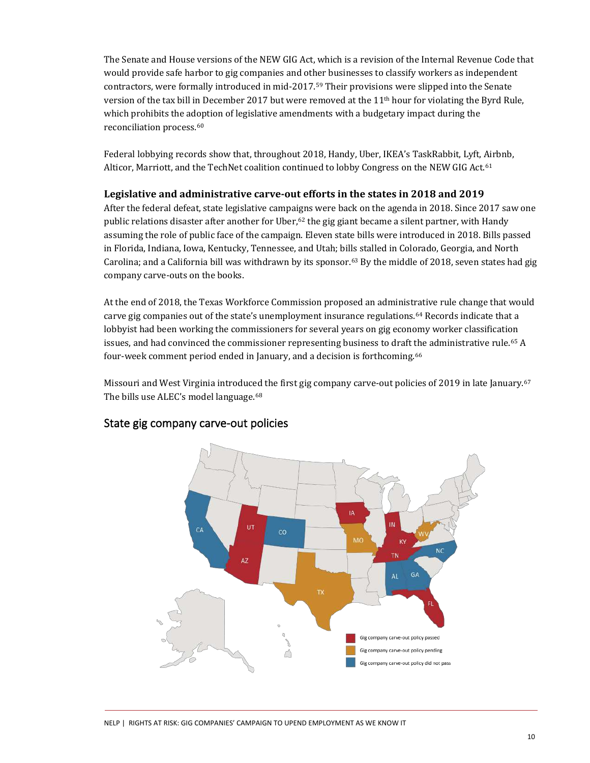The Senate and House versions of the NEW GIG Act, which is a revision of the Internal Revenue Code that would provide safe harbor to gig companies and other businesses to classify workers as independent contractors, were formally introduced in mid-2017.[59](#page-20-1) Their provisions were slipped into the Senate version of the tax bill in December 2017 but were removed at the 11<sup>th</sup> hour for violating the Byrd Rule, which prohibits the adoption of legislative amendments with a budgetary impact during the reconciliation process.[60](#page-20-2)

Federal lobbying records show that, throughout 2018, Handy, Uber, IKEA's TaskRabbit, Lyft, Airbnb, Alticor, Marriott, and the TechNet coalition continued to lobby Congress on the NEW GIG Act.<sup>[61](#page-20-3)</sup>

#### **Legislative and administrative carve-out efforts in the states in 2018 and 2019**

After the federal defeat, state legislative campaigns were back on the agenda in 2018. Since 2017 saw one public relations disaster after another for Uber, $62$  the gig giant became a silent partner, with Handy assuming the role of public face of the campaign. Eleven state bills were introduced in 2018. Bills passed in Florida, Indiana, Iowa, Kentucky, Tennessee, and Utah; bills stalled in Colorado, Georgia, and North Carolina; and a California bill was withdrawn by its sponsor.<sup>[63](#page-20-5)</sup> By the middle of 2018, seven states had gig company carve-outs on the books.

At the end of 2018, the Texas Workforce Commission proposed an administrative rule change that would carve gig companies out of the state's unemployment insurance regulations. [64](#page-20-6) Records indicate that a lobbyist had been working the commissioners for several years on gig economy worker classification issues, and had convinced the commissioner representing business to draft the administrative rule.<sup>[65](#page-20-7)</sup> A four-week comment period ended in January, and a decision is forthcoming.[66](#page-20-8)

Missouri and West Virginia introduced the first gig company carve-out policies of 2019 in late January.<sup>[67](#page-20-9)</sup> The bills use ALEC's model language. [68](#page-20-10)



### State gig company carve-out policies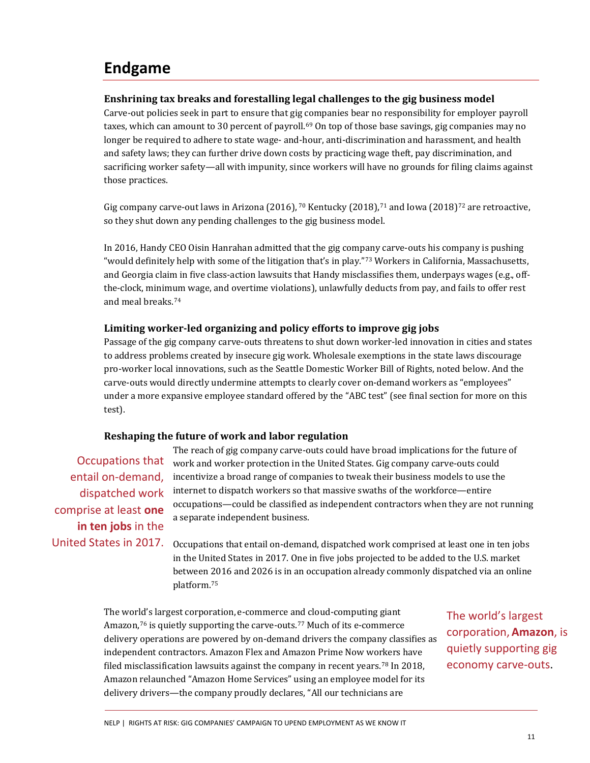### **Endgame**

#### **Enshrining tax breaks and forestalling legal challenges to the gig business model**

Carve-out policies seek in part to ensure that gig companies bear no responsibility for employer payroll taxes, which can amount to 30 percent of payroll.<sup>[69](#page-20-11)</sup> On top of those base savings, gig companies may no longer be required to adhere to state wage- and-hour, anti-discrimination and harassment, and health and safety laws; they can further drive down costs by practicing wage theft, pay discrimination, and sacrificing worker safety—all with impunity, since workers will have no grounds for filing claims against those practices.

Gig company carve-out laws in Arizona (2016), <sup>[70](#page-20-12)</sup> Kentucky (2018), <sup>[71](#page-20-13)</sup> and Iowa (2018)<sup>[72](#page-20-14)</sup> are retroactive, so they shut down any pending challenges to the gig business model.

In 2016, Handy CEO Oisin Hanrahan admitted that the gig company carve-outs his company is pushing "would definitely help with some of the litigation that's in play."[73](#page-20-15) Workers in California, Massachusetts, and Georgia claim in five class-action lawsuits that Handy misclassifies them, underpays wages (e.g., offthe-clock, minimum wage, and overtime violations), unlawfully deducts from pay, and fails to offer rest and meal breaks.[74](#page-20-16)

#### **Limiting worker-led organizing and policy efforts to improve gig jobs**

Passage of the gig company carve-outs threatens to shut down worker-led innovation in cities and states to address problems created by insecure gig work. Wholesale exemptions in the state laws discourage pro-worker local innovations, such as the Seattle Domestic Worker Bill of Rights, noted below. And the carve-outs would directly undermine attempts to clearly cover on-demand workers as "employees" under a more expansive employee standard offered by the "ABC test" (see final section for more on this test).

#### **Reshaping the future of work and labor regulation**

entail on-demand, dispatched work comprise at least **one in ten jobs** in the United States in 2017.

The reach of gig company carve-outs could have broad implications for the future of Occupations that work and worker protection in the United States. Gig company carve-outs could incentivize a broad range of companies to tweak their business models to use the internet to dispatch workers so that massive swaths of the workforce—entire occupations—could be classified as independent contractors when they are not running a separate independent business.

> Occupations that entail on-demand, dispatched work comprised at least one in ten jobs in the United States in 2017. One in five jobs projected to be added to the U.S. market between 2016 and 2026 is in an occupation already commonly dispatched via an online platform.[75](#page-21-0)

The world's largest corporation, e-commerce and cloud-computing giant Amazon,<sup>[76](#page-21-1)</sup> is quietly supporting the carve-outs.<sup>[77](#page-21-2)</sup> Much of its e-commerce delivery operations are powered by on-demand drivers the company classifies as independent contractors. Amazon Flex and Amazon Prime Now workers have filed misclassification lawsuits against the company in recent years. [78](#page-21-3) In 2018, Amazon relaunched "Amazon Home Services" using an employee model for its delivery drivers—the company proudly declares, "All our technicians are

The world's largest corporation,**Amazon**, is quietly supporting gig economy carve-outs.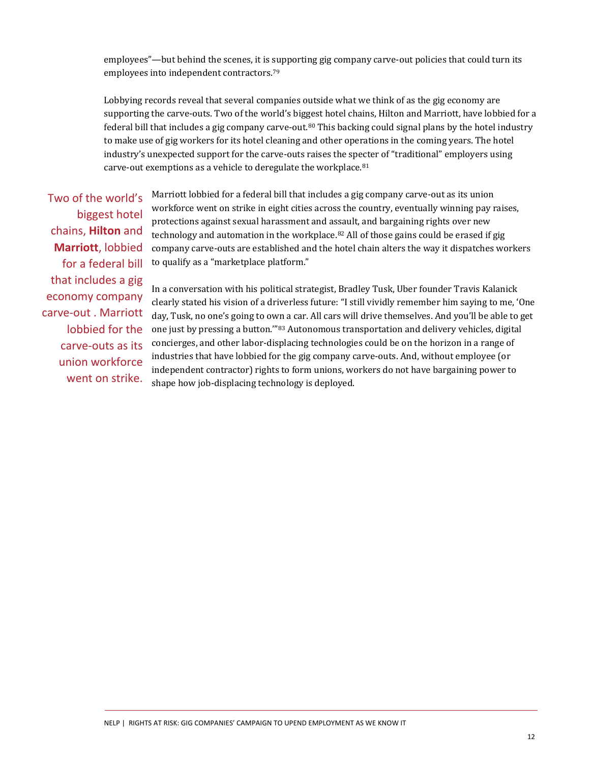employees"—but behind the scenes, it is supporting gig company carve-out policies that could turn its employees into independent contractors.[79](#page-21-4)

Lobbying records reveal that several companies outside what we think of as the gig economy are supporting the carve-outs. Two of the world's biggest hotel chains, Hilton and Marriott, have lobbied for a federal bill that includes a gig company carve-out.<sup>[80](#page-21-5)</sup> This backing could signal plans by the hotel industry to make use of gig workers for its hotel cleaning and other operations in the coming years. The hotel industry's unexpected support for the carve-outs raises the specter of "traditional" employers using carve-out exemptions as a vehicle to deregulate the workplace. [81](#page-21-6)

Two of the world's biggest hotel chains, **Hilton** and **Marriott**, lobbied for a federal bill that includes a gig economy company carve-out . Marriott lobbied for the carve-outs as its union workforce went on strike. Marriott lobbied for a federal bill that includes a gig company carve-out as its union workforce went on strike in eight cities across the country, eventually winning pay raises, protections against sexual harassment and assault, and bargaining rights over new technology and automation in the workplace. $82$  All of those gains could be erased if gig company carve-outs are established and the hotel chain alters the way it dispatches workers to qualify as a "marketplace platform."

In a conversation with his political strategist, Bradley Tusk, Uber founder Travis Kalanick clearly stated his vision of a driverless future: "I still vividly remember him saying to me, 'One day, Tusk, no one's going to own a car. All cars will drive themselves. And you'll be able to get one just by pressing a button.'"[83](#page-21-8) Autonomous transportation and delivery vehicles, digital concierges, and other labor-displacing technologies could be on the horizon in a range of industries that have lobbied for the gig company carve-outs. And, without employee (or independent contractor) rights to form unions, workers do not have bargaining power to shape how job-displacing technology is deployed.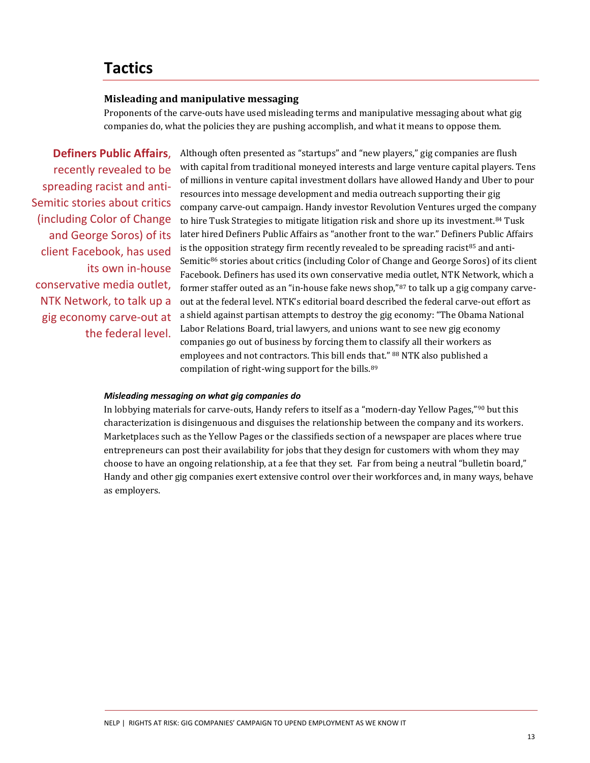### **Tactics**

#### **Misleading and manipulative messaging**

Proponents of the carve-outs have used misleading terms and manipulative messaging about what gig companies do, what the policies they are pushing accomplish, and what it means to oppose them.

**Definers Public Affairs**, recently revealed to be spreading racist and anti-Semitic stories about critics (including Color of Change and George Soros) of its client Facebook, has used its own in-house conservative media outlet, NTK Network, to talk up a gig economy carve-out at the federal level. Although often presented as "startups" and "new players," gig companies are flush with capital from traditional moneyed interests and large venture capital players. Tens of millions in venture capital investment dollars have allowed Handy and Uber to pour resources into message development and media outreach supporting their gig company carve-out campaign. Handy investor Revolution Ventures urged the company to hire Tusk Strategies to mitigate litigation risk and shore up its investment.[84](#page-21-9) Tusk later hired Definers Public Affairs as "another front to the war." Definers Public Affairs is the opposition strategy firm recently revealed to be spreading racist $85$  and anti-Semitic<sup>[86](#page-21-11)</sup> stories about critics (including Color of Change and George Soros) of its client Facebook. Definers has used its own conservative media outlet, NTK Network, which a former staffer outed as an "in-house fake news shop,"[87](#page-21-12) to talk up a gig company carveout at the federal level. NTK's editorial board described the federal carve-out effort as a shield against partisan attempts to destroy the gig economy: "The Obama National Labor Relations Board, trial lawyers, and unions want to see new gig economy companies go out of business by forcing them to classify all their workers as employees and not contractors. This bill ends that." [88](#page-21-13) NTK also published a compilation of right-wing support for the bills. [89](#page-21-14)

#### *Misleading messaging on what gig companies do*

In lobbying materials for carve-outs, Handy refers to itself as a "modern-day Yellow Pages,"[90](#page-21-15) but this characterization is disingenuous and disguises the relationship between the company and its workers. Marketplaces such as the Yellow Pages or the classifieds section of a newspaper are places where true entrepreneurs can post their availability for jobs that they design for customers with whom they may choose to have an ongoing relationship, at a fee that they set. Far from being a neutral "bulletin board," Handy and other gig companies exert extensive control over their workforces and, in many ways, behave as employers.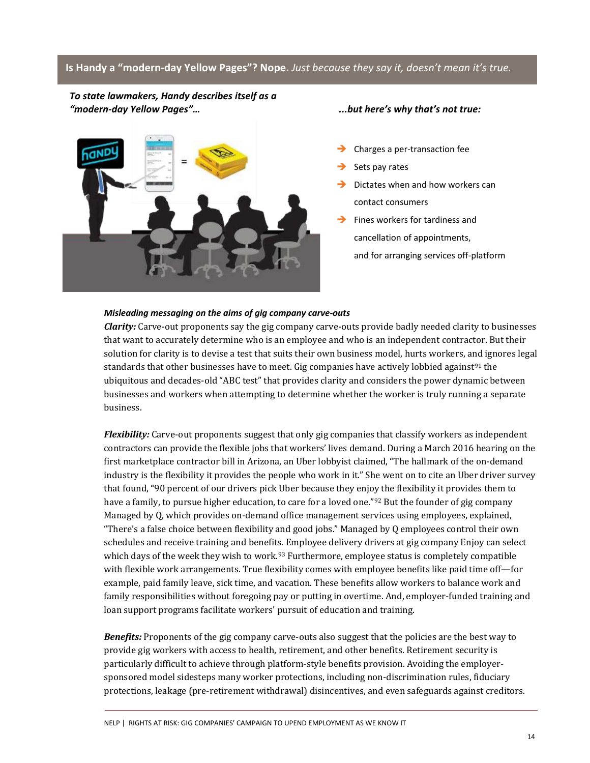#### **Is Handy a "modern-day Yellow Pages"? Nope.** *Just because they say it, doesn't mean it's true.*

*To state lawmakers, Handy describes itself as a "modern-day Yellow Pages"… ...but here's why that's not true:*



- Charges a per-transaction fee
- Sets pay rates
- Dictates when and how workers can contact consumers
- Fines workers for tardiness and cancellation of appointments, and for arranging services off-platform

#### *Misleading messaging on the aims of gig company carve-outs*

*Clarity:* Carve-out proponents say the gig company carve-outs provide badly needed clarity to businesses that want to accurately determine who is an employee and who is an independent contractor. But their solution for clarity is to devise a test that suits their own business model, hurts workers, and ignores legal standards that other businesses have to meet. Gig companies have actively lobbied against<sup>[91](#page-21-16)</sup> the ubiquitous and decades-old "ABC test" that provides clarity and considers the power dynamic between businesses and workers when attempting to determine whether the worker is truly running a separate business.

*Flexibility:* Carve-out proponents suggest that only gig companies that classify workers as independent contractors can provide the flexible jobs that workers' lives demand. During a March 2016 hearing on the first marketplace contractor bill in Arizona, an Uber lobbyist claimed, "The hallmark of the on-demand industry is the flexibility it provides the people who work in it." She went on to cite an Uber driver survey that found, "90 percent of our drivers pick Uber because they enjoy the flexibility it provides them to have a family, to pursue higher education, to care for a loved one."<sup>[92](#page-21-17)</sup> But the founder of gig company Managed by Q, which provides on-demand office management services using employees, explained, "There's a false choice between flexibility and good jobs." Managed by Q employees control their own schedules and receive training and benefits. Employee delivery drivers at gig company Enjoy can select which days of the week they wish to work.<sup>[93](#page-21-18)</sup> Furthermore, employee status is completely compatible with flexible work arrangements. True flexibility comes with employee benefits like paid time off—for example, paid family leave, sick time, and vacation. These benefits allow workers to balance work and family responsibilities without foregoing pay or putting in overtime. And, employer-funded training and loan support programs facilitate workers' pursuit of education and training.

*Benefits:* Proponents of the gig company carve-outs also suggest that the policies are the best way to provide gig workers with access to health, retirement, and other benefits. Retirement security is particularly difficult to achieve through platform-style benefits provision. Avoiding the employersponsored model sidesteps many worker protections, including non-discrimination rules, fiduciary protections, leakage (pre-retirement withdrawal) disincentives, and even safeguards against creditors.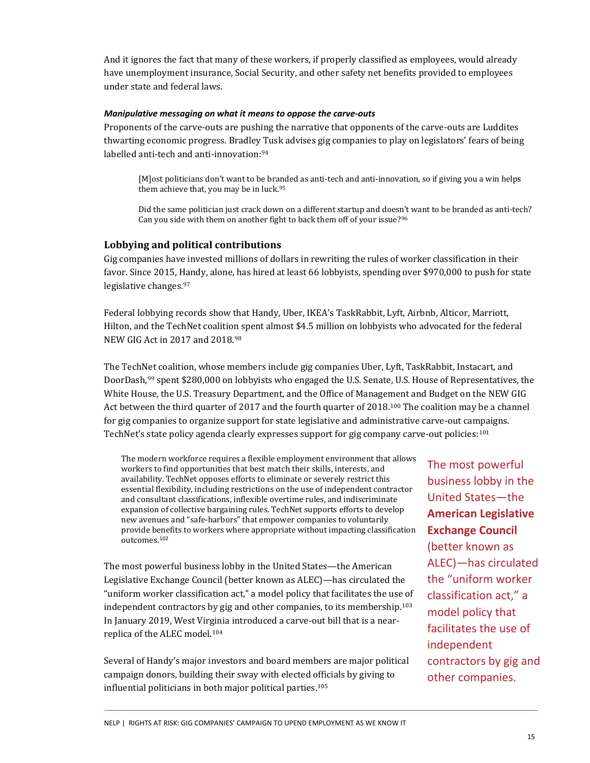And it ignores the fact that many of these workers, if properly classified as employees, would already have unemployment insurance, Social Security, and other safety net benefits provided to employees under state and federal laws.

#### *Manipulative messaging on what it means to oppose the carve-outs*

Proponents of the carve-outs are pushing the narrative that opponents of the carve-outs are Luddites thwarting economic progress. Bradley Tusk advises gig companies to play on legislators' fears of being labelled anti-tech and anti-innovation:<sup>[94](#page-21-19)</sup>

[M]ost politicians don't want to be branded as anti-tech and anti-innovation, so if giving you a win helps them achieve that, you may be in luck. [95](#page-21-20)

Did the same politician just crack down on a different startup and doesn't want to be branded as anti-tech? Can you side with them on another fight to back them off of your issue?[96](#page-21-21)

#### **Lobbying and political contributions**

Gig companies have invested millions of dollars in rewriting the rules of worker classification in their favor. Since 2015, Handy, alone, has hired at least 66 lobbyists, spending over \$970,000 to push for state legislative changes. [97](#page-21-22)

Federal lobbying records show that Handy, Uber, IKEA's TaskRabbit, Lyft, Airbnb, Alticor, Marriott, Hilton, and the TechNet coalition spent almost \$4.5 million on lobbyists who advocated for the federal NEW GIG Act in 2017 and 2018.[98](#page-21-23)

The TechNet coalition, whose members include gig companies Uber, Lyft, TaskRabbit, Instacart, and DoorDash,[99](#page-21-24) spent \$280,000 on lobbyists who engaged the U.S. Senate, U.S. House of Representatives, the White House, the U.S. Treasury Department, and the Office of Management and Budget on the NEW GIG Act between the third quarter of 2017 and the fourth quarter of 2018. [100](#page-21-25) The coalition may be a channel for gig companies to organize support for state legislative and administrative carve-out campaigns. TechNet's state policy agenda clearly expresses support for gig company carve-out policies: [101](#page-22-0)

The modern workforce requires a flexible employment environment that allows workers to find opportunities that best match their skills, interests, and availability. TechNet opposes efforts to eliminate or severely restrict this essential flexibility, including restrictions on the use of independent contractor and consultant classifications, inflexible overtime rules, and indiscriminate expansion of collective bargaining rules. TechNet supports efforts to develop new avenues and "safe-harbors" that empower companies to voluntarily provide benefits to workers where appropriate without impacting classification outcomes.[102](#page-22-1)

The most powerful business lobby in the United States—the American Legislative Exchange Council (better known as ALEC)—has circulated the "uniform worker classification act," a model policy that facilitates the use of independent contractors by gig and other companies, to its membership. [103](#page-22-2) In January 2019, West Virginia introduced a carve-out bill that is a nearreplica of the ALEC model.[104](#page-22-3)

Several of Handy's major investors and board members are major political campaign donors, building their sway with elected officials by giving to influential politicians in both major political parties.[105](#page-22-4)

The most powerful business lobby in the United States—the **American Legislative Exchange Council** (better known as ALEC)—has circulated the "uniform worker classification act," a model policy that facilitates the use of independent contractors by gig and other companies.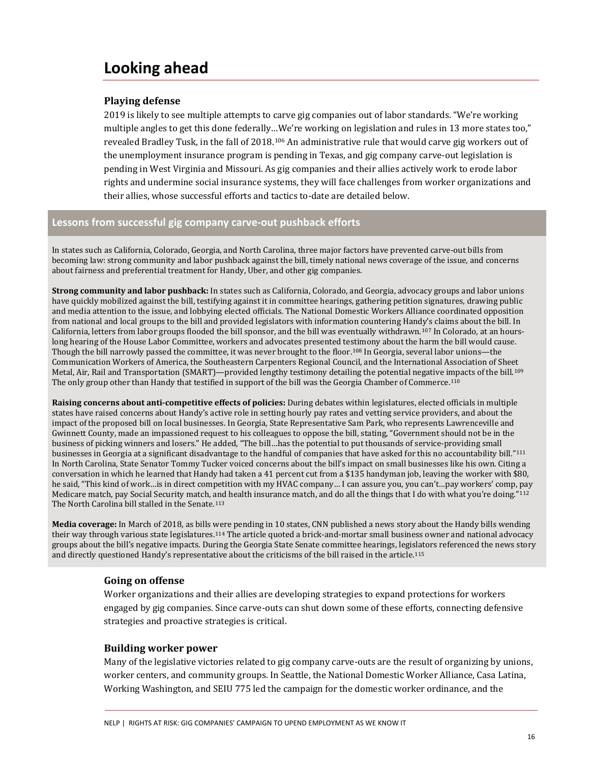### **Looking ahead**

#### **Playing defense**

2019 is likely to see multiple attempts to carve gig companies out of labor standards. "We're working multiple angles to get this done federally…We're working on legislation and rules in 13 more states too," revealed Bradley Tusk, in the fall of 2018.<sup>[106](#page-22-5)</sup> An administrative rule that would carve gig workers out of the unemployment insurance program is pending in Texas, and gig company carve-out legislation is pending in West Virginia and Missouri. As gig companies and their allies actively work to erode labor rights and undermine social insurance systems, they will face challenges from worker organizations and their allies, whose successful efforts and tactics to-date are detailed below.

#### **Lessons from successful gig company carve-out pushback efforts**

In states such as California, Colorado, Georgia, and North Carolina, three major factors have prevented carve-out bills from becoming law: strong community and labor pushback against the bill, timely national news coverage of the issue, and concerns about fairness and preferential treatment for Handy, Uber, and other gig companies.

**Strong community and labor pushback:** In states such as California, Colorado, and Georgia, advocacy groups and labor unions have quickly mobilized against the bill, testifying against it in committee hearings, gathering petition signatures, drawing public and media attention to the issue, and lobbying elected officials. The National Domestic Workers Alliance coordinated opposition from national and local groups to the bill and provided legislators with information countering Handy's claims about the bill. In California, letters from labor groups flooded the bill sponsor, and the bill was eventually withdrawn.[107](#page-22-6) In Colorado, at an hourslong hearing of the House Labor Committee, workers and advocates presented testimony about the harm the bill would cause. Though the bill narrowly passed the committee, it was never brought to the floor.[108](#page-22-7) In Georgia, several labor unions—the Communication Workers of America, the Southeastern Carpenters Regional Council, and the International Association of Sheet Metal, Air, Rail and Transportation (SMART)—provided lengthy testimony detailing the potential negative impacts of the bill.[109](#page-22-8) The only group other than Handy that testified in support of the bill was the Georgia Chamber of Commerce.[110](#page-22-9)

**Raising concerns about anti-competitive effects of policies:** During debates within legislatures, elected officials in multiple states have raised concerns about Handy's active role in setting hourly pay rates and vetting service providers, and about the impact of the proposed bill on local businesses. In Georgia, State Representative Sam Park, who represents Lawrenceville and Gwinnett County, made an impassioned request to his colleagues to oppose the bill, stating, "Government should not be in the business of picking winners and losers." He added, "The bill…has the potential to put thousands of service-providing small businesses in Georgia at a significant disadvantage to the handful of companies that have asked for this no accountability bill."[111](#page-22-10) In North Carolina, State Senator Tommy Tucker voiced concerns about the bill's impact on small businesses like his own. Citing a conversation in which he learned that Handy had taken a 41 percent cut from a \$135 handyman job, leaving the worker with \$80, he said, "This kind of work…is in direct competition with my HVAC company… I can assure you, you can't…pay workers' comp, pay Medicare match, pay Social Security match, and health insurance match, and do all the things that I do with what you're doing."[112](#page-22-11) The North Carolina bill stalled in the Senate.<sup>[113](#page-22-12)</sup>

**Media coverage:** In March of 2018, as bills were pending in 10 states, CNN published a news story about the Handy bills wending their way through various state legislatures.[114](#page-22-13) The article quoted a brick-and-mortar small business owner and national advocacy groups about the bill's negative impacts. During the Georgia State Senate committee hearings, legislators referenced the news story and directly questioned Handy's representative about the criticisms of the bill raised in the article.[115](#page-22-14)

#### **Going on offense**

Worker organizations and their allies are developing strategies to expand protections for workers engaged by gig companies. Since carve-outs can shut down some of these efforts, connecting defensive strategies and proactive strategies is critical.

#### **Building worker power**

Many of the legislative victories related to gig company carve-outs are the result of organizing by unions, worker centers, and community groups. In Seattle, the National Domestic Worker Alliance, Casa Latina, Working Washington, and SEIU 775 led the campaign for the domestic worker ordinance, and the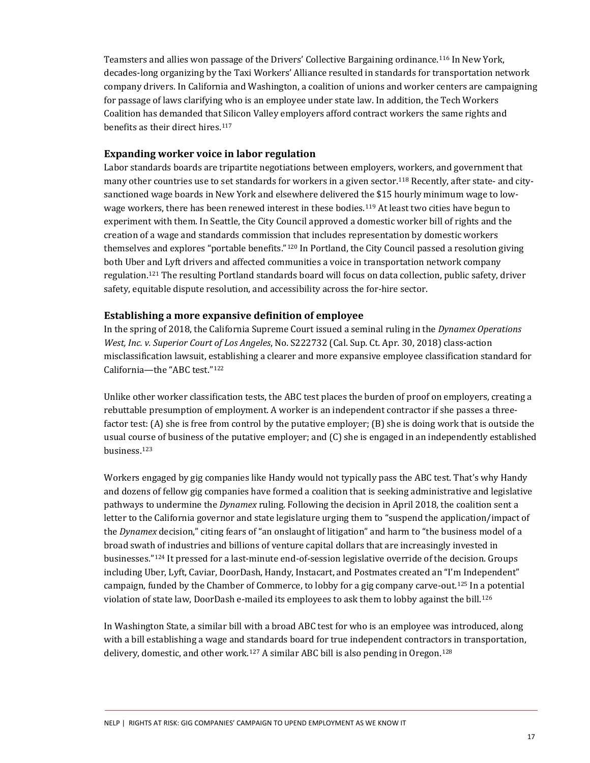Teamsters and allies won passage of the Drivers' Collective Bargaining ordinance.[116](#page-22-15) In New York, decades-long organizing by the Taxi Workers' Alliance resulted in standards for transportation network company drivers. In California and Washington, a coalition of unions and worker centers are campaigning for passage of laws clarifying who is an employee under state law. In addition, the Tech Workers Coalition has demanded that Silicon Valley employers afford contract workers the same rights and benefits as their direct hires.<sup>[117](#page-22-16)</sup>

#### **Expanding worker voice in labor regulation**

Labor standards boards are tripartite negotiations between employers, workers, and government that many other countries use to set standards for workers in a given sector.<sup>[118](#page-22-17)</sup> Recently, after state- and citysanctioned wage boards in New York and elsewhere delivered the \$15 hourly minimum wage to low-wage workers, there has been renewed interest in these bodies.<sup>[119](#page-22-18)</sup> At least two cities have begun to experiment with them. In Seattle, the City Council approved a domestic worker bill of rights and the creation of a wage and standards commission that includes representation by domestic workers themselves and explores "portable benefits."[120](#page-22-19) In Portland, the City Council passed a resolution giving both Uber and Lyft drivers and affected communities a voice in transportation network company regulation. [121](#page-22-20) The resulting Portland standards board will focus on data collection, public safety, driver safety, equitable dispute resolution, and accessibility across the for-hire sector.

#### **Establishing a more expansive definition of employee**

In the spring of 2018, the California Supreme Court issued a seminal ruling in the *Dynamex Operations West, Inc. v. Superior Court of Los Angeles*, No. S222732 (Cal. Sup. Ct. Apr. 30, 2018) class-action misclassification lawsuit, establishing a clearer and more expansive employee classification standard for California—the "ABC test."[122](#page-22-21)

Unlike other worker classification tests, the ABC test places the burden of proof on employers, creating a rebuttable presumption of employment. A worker is an independent contractor if she passes a threefactor test: (A) she is free from control by the putative employer; (B) she is doing work that is outside the usual course of business of the putative employer; and (C) she is engaged in an independently established business.[123](#page-22-22)

Workers engaged by gig companies like Handy would not typically pass the ABC test. That's why Handy and dozens of fellow gig companies have formed a coalition that is seeking administrative and legislative pathways to undermine the *Dynamex* ruling. Following the decision in April 2018, the coalition sent a letter to the California governor and state legislature urging them to "suspend the application/impact of the *Dynamex* decision," citing fears of "an onslaught of litigation" and harm to "the business model of a broad swath of industries and billions of venture capital dollars that are increasingly invested in businesses."[124](#page-22-23) It pressed for a last-minute end-of-session legislative override of the decision. Groups including Uber, Lyft, Caviar, DoorDash, Handy, Instacart, and Postmates created an "I'm Independent" campaign, funded by the Chamber of Commerce, to lobby for a gig company carve-out. [125](#page-22-24) In a potential violation of state law, DoorDash e-mailed its employees to ask them to lobby against the bill.<sup>[126](#page-22-25)</sup>

In Washington State, a similar bill with a broad ABC test for who is an employee was introduced, along with a bill establishing a wage and standards board for true independent contractors in transportation, delivery, domestic, and other work.<sup>[127](#page-23-0)</sup> A similar ABC bill is also pending in Oregon.<sup>[128](#page-23-1)</sup>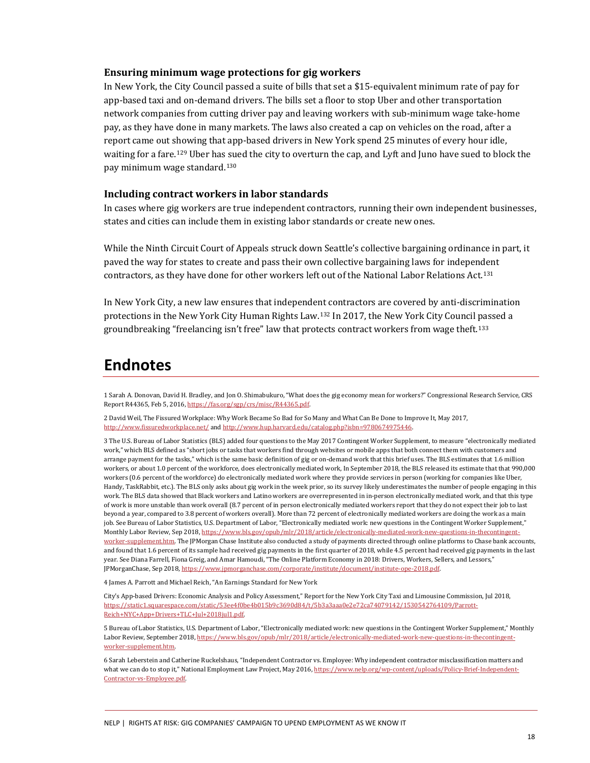#### **Ensuring minimum wage protections for gig workers**

In New York, the City Council passed a suite of bills that set a \$15-equivalent minimum rate of pay for app-based taxi and on-demand drivers. The bills set a floor to stop Uber and other transportation network companies from cutting driver pay and leaving workers with sub-minimum wage take-home pay, as they have done in many markets. The laws also created a cap on vehicles on the road, after a report came out showing that app-based drivers in New York spend 25 minutes of every hour idle, waiting for a fare.[129](#page-23-2) Uber has sued the city to overturn the cap, and Lyft and Juno have sued to block the pay minimum wage standard.[130](#page-23-3)

#### **Including contract workers in labor standards**

In cases where gig workers are true independent contractors, running their own independent businesses, states and cities can include them in existing labor standards or create new ones.

While the Ninth Circuit Court of Appeals struck down Seattle's collective bargaining ordinance in part, it paved the way for states to create and pass their own collective bargaining laws for independent contractors, as they have done for other workers left out of the National Labor Relations Act.[131](#page-23-4)

In New York City, a new law ensures that independent contractors are covered by anti-discrimination protections in the New York City Human Rights Law. [132](#page-23-5) In 2017, the New York City Council passed a groundbreaking "freelancing isn't free" law that protects contract workers from wage theft.[133](#page-23-6)

### <span id="page-17-0"></span>**Endnotes**

1 Sarah A. Donovan, David H. Bradley, and Jon O. Shimabukuro, "What does the gig economy mean for workers?" Congressional Research Service, CRS Report R44365, Feb 5, 2016[, https://fas.org/sgp/crs/misc/R44365.pdf.](https://fas.org/sgp/crs/misc/R44365.pdf) 

<span id="page-17-1"></span>2 David Weil, The Fissured Workplace: Why Work Became So Bad for So Many and What Can Be Done to Improve It, May 2017, <http://www.fissuredworkplace.net/> an[d http://www.hup.harvard.edu/catalog.php?isbn=9780674975446.](http://www.hup.harvard.edu/catalog.php?isbn=9780674975446) 

<span id="page-17-2"></span>3 The U.S. Bureau of Labor Statistics (BLS) added four questions to the May 2017 Contingent Worker Supplement, to measure "electronically mediated work," which BLS defined as "short jobs or tasks that workers find through websites or mobile apps that both connect them with customers and arrange payment for the tasks," which is the same basic definition of gig or on-demand work that this brief uses. The BLS estimates that 1.6 million workers, or about 1.0 percent of the workforce, does electronically mediated work, In September 2018, the BLS released its estimate that that 990,000 workers (0.6 percent of the workforce) do electronically mediated work where they provide services in person (working for companies like Uber, Handy, TaskRabbit, etc.). The BLS only asks about gig work in the week prior, so its survey likely underestimates the number of people engaging in this work. The BLS data showed that Black workers and Latino workers are overrepresented in in-person electronically mediated work, and that this type of work is more unstable than work overall (8.7 percent of in person electronically mediated workers report that they do not expect their job to last beyond a year, compared to 3.8 percent of workers overall). More than 72 percent of electronically mediated workers are doing the work as a main job. See Bureau of Labor Statistics, U.S. Department of Labor, "Electronically mediated work: new questions in the Contingent Worker Supplement," Monthly Labor Review, Sep 2018[, https://www.bls.gov/opub/mlr/2018/article/electronically-mediated-work-new-questions-in-thecontingent](https://www.bls.gov/opub/mlr/2018/article/electronically-mediated-work-new-questions-in-thecontingent-worker-supplement.htm)[worker-supplement.htm.](https://www.bls.gov/opub/mlr/2018/article/electronically-mediated-work-new-questions-in-thecontingent-worker-supplement.htm) The JPMorgan Chase Institute also conducted a study of payments directed through online platforms to Chase bank accounts, and found that 1.6 percent of its sample had received gig payments in the first quarter of 2018, while 4.5 percent had received gig payments in the last year. See Diana Farrell, Fiona Greig, and Amar Hamoudi, "The Online Platform Economy in 2018: Drivers, Workers, Sellers, and Lessors," JPMorganChase, Sep 2018[, https://www.jpmorganchase.com/corporate/institute/document/institute-ope-2018.pdf.](https://www.jpmorganchase.com/corporate/institute/document/institute-ope-2018.pdf) 

<span id="page-17-3"></span>4 James A. Parrott and Michael Reich, "An Earnings Standard for New York

City's App-based Drivers: Economic Analysis and Policy Assessment," Report for the New York City Taxi and Limousine Commission, Jul 2018, [https://static1.squarespace.com/static/53ee4f0be4b015b9c3690d84/t/5b3a3aaa0e2e72ca74079142/1530542764109/Parrott-](https://static1.squarespace.com/static/53ee4f0be4b015b9c3690d84/t/5b3a3aaa0e2e72ca74079142/1530542764109/Parrott-Reich+NYC+App+Drivers+TLC+Jul+2018jul1.pdf)[Reich+NYC+App+Drivers+TLC+Jul+2018jul1.pdf.](https://static1.squarespace.com/static/53ee4f0be4b015b9c3690d84/t/5b3a3aaa0e2e72ca74079142/1530542764109/Parrott-Reich+NYC+App+Drivers+TLC+Jul+2018jul1.pdf) 

<span id="page-17-4"></span>5 Bureau of Labor Statistics, U.S. Department of Labor, "Electronically mediated work: new questions in the Contingent Worker Supplement," Monthly Labor Review, September 2018[, https://www.bls.gov/opub/mlr/2018/article/electronically-mediated-work-new-questions-in-thecontingent](https://www.bls.gov/opub/mlr/2018/article/electronically-mediated-work-new-questions-in-thecontingent-worker-supplement.htm)[worker-supplement.htm.](https://www.bls.gov/opub/mlr/2018/article/electronically-mediated-work-new-questions-in-thecontingent-worker-supplement.htm) 

<span id="page-17-5"></span>6 Sarah Leberstein and Catherine Ruckelshaus, "Independent Contractor vs. Employee: Why independent contractor misclassification matters and what we can do to stop it," National Employment Law Project, May 2016[, https://www.nelp.org/wp-content/uploads/Policy-Brief-Independent-](https://www.nelp.org/wp-content/uploads/Policy-Brief-Independent-Contractor-vs-Employee.pdf)[Contractor-vs-Employee.pdf.](https://www.nelp.org/wp-content/uploads/Policy-Brief-Independent-Contractor-vs-Employee.pdf)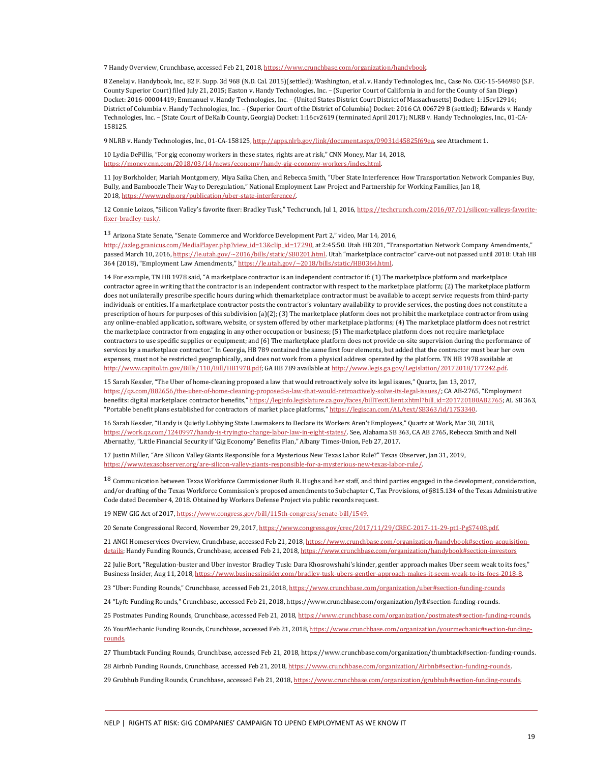<span id="page-18-0"></span>7 Handy Overview, Crunchbase, accessed Feb 21, 2018[, https://www.crunchbase.com/organization/handybook.](https://www.crunchbase.com/organization/handybook) 

<span id="page-18-1"></span>8 Zenelaj v. Handybook, Inc., 82 F. Supp. 3d 968 (N.D. Cal. 2015)(settled); Washington, et al. v. Handy Technologies, Inc., Case No. CGC-15-546980 (S.F. County Superior Court) filed July 21, 2015; Easton v. Handy Technologies, Inc. – (Superior Court of California in and for the County of San Diego) Docket: 2016-00004419; Emmanuel v. Handy Technologies, Inc. – (United States District Court District of Massachusetts) Docket: 1:15cv12914; District of Columbia v. Handy Technologies, Inc. – (Superior Court of the District of Columbia) Docket: 2016 CA 006729 B (settled); Edwards v. Handy Technologies, Inc. – (State Court of DeKalb County, Georgia) Docket: 1:16cv2619 (terminated April 2017); NLRB v. Handy Technologies, Inc., 01-CA-158125.

<span id="page-18-2"></span>9 NLRB v. Handy Technologies, Inc., 01-CA-158125[, http://apps.nlrb.gov/link/document.aspx/09031d45825f69ea,](http://apps.nlrb.gov/link/document.aspx/09031d45825f69ea) see Attachment 1.

<span id="page-18-3"></span>10 Lydia DePillis, "For gig economy workers in these states, rights are at risk," CNN Money, Mar 14, 2018, [https://money.cnn.com/2018/03/14/news/economy/handy-gig-economy-workers/index.html.](https://money.cnn.com/2018/03/14/news/economy/handy-gig-economy-workers/index.html) 

<span id="page-18-4"></span>11 Joy Borkholder, Mariah Montgomery, Miya Saika Chen, and Rebecca Smith, "Uber State Interference: How Transportation Network Companies Buy, Bully, and Bamboozle Their Way to Deregulation," National Employment Law Project and Partnership for Working Families, Jan 18, 2018, [https://www.nelp.org/publication/uber-state-interference/.](https://www.nelp.org/publication/uber-state-interference/) 

<span id="page-18-5"></span>12 Connie Loizos, "Silicon Valley's favorite fixer: Bradley Tusk," Techcrunch, Jul 1, 2016[, https://techcrunch.com/2016/07/01/silicon-valleys-favorite](https://techcrunch.com/2016/07/01/silicon-valleys-favorite-fixer-bradley-tusk/)[fixer-bradley-tusk/.](https://techcrunch.com/2016/07/01/silicon-valleys-favorite-fixer-bradley-tusk/) 

<span id="page-18-6"></span>13 Arizona State Senate, "Senate Commerce and Workforce Development Part 2," video, Mar 14, 2016,

[http://azleg.granicus.com/MediaPlayer.php?view\\_id=13&clip\\_id=17290,](http://azleg.granicus.com/MediaPlayer.php?view_id=13&clip_id=17290) at 2:45:50. Utah HB 201, "Transportation Network Company Amendments," passed March 10, 2016[, https://le.utah.gov/~2016/bills/static/SB0201.html.](https://le.utah.gov/%7E2016/bills/static/SB0201.html) Utah "marketplace contractor" carve-out not passed until 2018: Utah HB 364 (2018), "Employment Law Amendments," https://le.utah.gov/~2018/bills/static/HB0364.html.

<span id="page-18-7"></span>14 For example, TN HB 1978 said, "A marketplace contractor is an independent contractor if: (1) The marketplace platform and marketplace contractor agree in writing that the contractor is an independent contractor with respect to the marketplace platform; (2) The marketplace platform does not unilaterally prescribe specific hours during which themarketplace contractor must be available to accept service requests from third-party individuals or entities. If a marketplace contractor posts the contractor's voluntary availability to provide services, the posting does not constitute a prescription of hours for purposes of this subdivision (a)(2); (3) The marketplace platform does not prohibit the marketplace contractor from using any online-enabled application, software, website, or system offered by other marketplace platforms; (4) The marketplace platform does not restrict the marketplace contractor from engaging in any other occupation or business; (5) The marketplace platform does not require marketplace contractors to use specific supplies or equipment; and (6) The marketplace platform does not provide on-site supervision during the performance of services by a marketplace contractor." In Georgia, HB 789 contained the same first four elements, but added that the contractor must bear her own expenses, must not be restricted geographically, and does not work from a physical address operated by the platform. TN HB 1978 available at [http://www.capitol.tn.gov/Bills/110/Bill/HB1978.pdf;](http://www.capitol.tn.gov/Bills/110/Bill/HB1978.pdf) GA HB 789 available a[t http://www.legis.ga.gov/Legislation/20172018/177242.pdf.](http://www.legis.ga.gov/Legislation/20172018/177242.pdf) 

<span id="page-18-8"></span>15 Sarah Kessler, "The Uber of home-cleaning proposed a law that would retroactively solve its legal issues," Quartz, Jan 13, 2017, [https://qz.com/882656/the-uber-of-home-cleaning-proposed-a-law-that-would-retroactively-solve-its-legal-issues/;](https://qz.com/882656/the-uber-of-home-cleaning-proposed-a-law-that-would-retroactively-solve-its-legal-issues/) CA AB-2765, "Employment benefits: digital marketplace: contractor benefits,[" https://leginfo.legislature.ca.gov/faces/billTextClient.xhtml?bill\\_id=201720180AB2765;](https://leginfo.legislature.ca.gov/faces/billTextClient.xhtml?bill_id=201720180AB2765) AL SB 363, "Portable benefit plans established for contractors of market place platforms," [https://legiscan.com/AL/text/SB363/id/1753340.](https://legiscan.com/AL/text/SB363/id/1753340) 

<span id="page-18-9"></span>16 Sarah Kessler, "Handy is Quietly Lobbying State Lawmakers to Declare its Workers Aren't Employees," Quartz at Work, Mar 30, 2018, [https://work.qz.com/1240997/handy-is-tryingto-change-labor-law-in-eight-states/.](https://work.qz.com/1240997/handy-is-tryingto-change-labor-law-in-eight-states/) See, Alabama SB 363, CA AB 2765, Rebecca Smith and Nell Abernathy, "Little Financial Security if 'Gig Economy' Benefits Plan," Albany Times-Union, Feb 27, 2017.

<span id="page-18-10"></span>17 Justin Miller, "Are Silicon Valley Giants Responsible for a Mysterious New Texas Labor Rule?" Texas Observer, Jan 31, 2019, [https://www.texasobserver.org/are-silicon-valley-giants-responsible-for-a-mysterious-new-texas-labor-rule/.](https://www.texasobserver.org/are-silicon-valley-giants-responsible-for-a-mysterious-new-texas-labor-rule/) 

<span id="page-18-11"></span><sup>18</sup> Communication between Texas Workforce Commissioner Ruth R. Hughs and her staff, and third parties engaged in the development, consideration, and/or drafting of the Texas Workforce Commission's proposed amendments to Subchapter C, Tax Provisions, of §815.134 of the Texas Administrative Code dated December 4, 2018. Obtained by Workers Defense Project via public records request.

<span id="page-18-12"></span>19 NEW GIG Act of 2017[, https://www.congress.gov/bill/115th-congress/senate-bill/1549.](https://www.congress.gov/bill/115th-congress/senate-bill/1549) 

<span id="page-18-13"></span>20 Senate Congressional Record, November 29, 2017[, https://www.congress.gov/crec/2017/11/29/CREC-2017-11-29-pt1-PgS7408.pdf.](https://www.congress.gov/crec/2017/11/29/CREC-2017-11-29-pt1-PgS7408.pdf) 

<span id="page-18-14"></span>21 ANGI Homeservices Overview, Crunchbase, accessed Feb 21, 2018[, https://www.crunchbase.com/organization/handybook#section-acquisition](https://www.crunchbase.com/organization/handybook#section-acquisition-details)[details;](https://www.crunchbase.com/organization/handybook#section-acquisition-details) Handy Funding Rounds, Crunchbase, accessed Feb 21, 2018, https://www.crunchbase.com/organization/handybook#section-investors

<span id="page-18-15"></span>22 Julie Bort, "Regulation-buster and Uber investor Bradley Tusk: Dara Khosrowshahi's kinder, gentler approach makes Uber seem weak to its foes," Business Insider, Aug 11, 2018[, https://www.businessinsider.com/bradley-tusk-ubers-gentler-approach-makes-it-seem-weak-to-its-foes-2018-8.](https://www.businessinsider.com/bradley-tusk-ubers-gentler-approach-makes-it-seem-weak-to-its-foes-2018-8) 

<span id="page-18-16"></span>23 "Uber: Funding Rounds," Crunchbase, accessed Feb 21, 2018, https://www.crunchbase.com/organization/uber#section-funding-rounds

<span id="page-18-17"></span>24 "Lyft: Funding Rounds," Crunchbase, accessed Feb 21, 2018, https://www.crunchbase.com/organization/lyft#section-funding-rounds.

<span id="page-18-18"></span>25 Postmates Funding Rounds, Crunchbase, accessed Feb 21, 2018, https://www.crunchbase.com/organization/postmates#section-funding-rounds.

<span id="page-18-19"></span>26 YourMechanic Funding Rounds, Crunchbase, accessed Feb 21, 2018[, https://www.crunchbase.com/organization/yourmechanic#section-funding](https://www.crunchbase.com/organization/yourmechanic#section-funding-rounds)[rounds.](https://www.crunchbase.com/organization/yourmechanic#section-funding-rounds) 

<span id="page-18-20"></span>27 Thumbtack Funding Rounds, Crunchbase, accessed Feb 21, 2018, https://www.crunchbase.com/organization/thumbtack#section-funding-rounds.

<span id="page-18-21"></span>28 Airbnb Funding Rounds, Crunchbase, accessed Feb 21, 2018, https://www.crunchbase.com/organization/Airbnb#section-funding-rounds.

<span id="page-18-22"></span>29 Grubhub Funding Rounds, Crunchbase, accessed Feb 21, 2018, https://www.crunchbase.com/organization/grubhub#section-funding-rounds.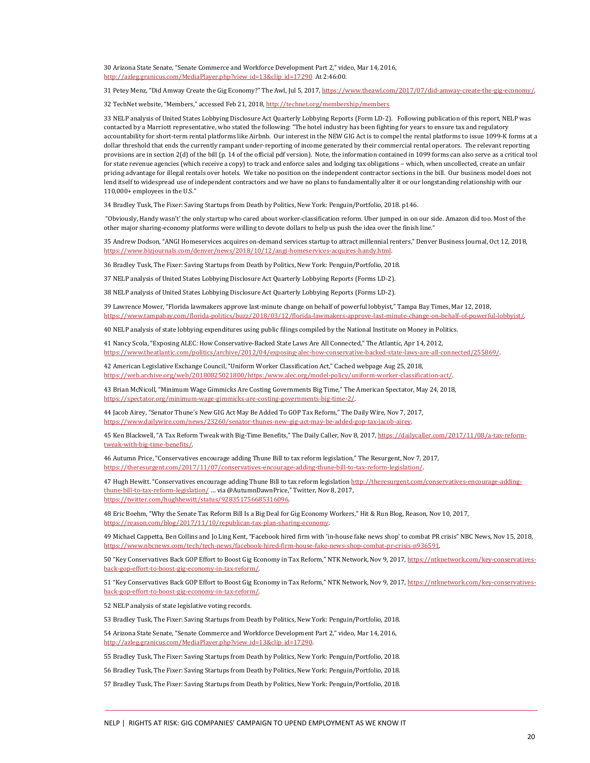<span id="page-19-0"></span>30 Arizona State Senate, "Senate Commerce and Workforce Development Part 2," video, Mar 14, 2016, [http://azleg.granicus.com/MediaPlayer.php?view\\_id=13&clip\\_id=17290](http://azleg.granicus.com/MediaPlayer.php?view_id=13&clip_id=17290) At 2:46:00.

<span id="page-19-1"></span>31 Petey Menz, "Did Amway Create the Gig Economy?" The Awl, Jul 5, 2017, https://www.theawl.com/2017/07/did-amway-create-the-gig-economy/.

<span id="page-19-2"></span>32 TechNet website, "Members," accessed Feb 21, 2018[, http://technet.org/membership/members](http://technet.org/membership/members) 

<span id="page-19-3"></span>33 NELP analysis of United States Lobbying Disclosure Act Quarterly Lobbying Reports (Form LD-2). Following publication of this report, NELP was contacted by a Marriott representative, who stated the following: "The hotel industry has been fighting for years to ensure tax and regulatory accountability for short-term rental platforms like Airbnb. Our interest in the NEW GIG Act is to compel the rental platforms to issue 1099-K forms at a dollar threshold that ends the currently rampant under-reporting of income generated by their commercial rental operators. The relevant reporting provisions are in section 2(d) of the bill (p. 14 of the official pdf version). Note, the information contained in 1099 forms can also serve as a critical tool for state revenue agencies (which receive a copy) to track and enforce sales and lodging tax obligations – which, when uncollected, create an unfair pricing advantage for illegal rentals over hotels. We take no position on the independent contractor sections in the bill. Our business model does not lend itself to widespread use of independent contractors and we have no plans to fundamentally alter it or our longstanding relationship with our 110,000+ employees in the U.S."

<span id="page-19-4"></span>34 Bradley Tusk, The Fixer: Saving Startups from Death by Politics, New York: Penguin/Portfolio, 2018. p146.

"Obviously, Handy wasn't' the only startup who cared about worker-classification reform. Uber jumped in on our side. Amazon did too. Most of the other major sharing-economy platforms were willing to devote dollars to help us push the idea over the finish line."

<span id="page-19-5"></span>35 Andrew Dodson, "ANGI Homeservices acquires on-demand services startup to attract millennial renters," Denver Business Journal, Oct 12, 2018, [https://www.bizjournals.com/denver/news/2018/10/12/angi-homeservices-acquires-handy.html.](https://www.bizjournals.com/denver/news/2018/10/12/angi-homeservices-acquires-handy.html) 

<span id="page-19-6"></span>36 Bradley Tusk, The Fixer: Saving Startups from Death by Politics, New York: Penguin/Portfolio, 2018.

<span id="page-19-7"></span>37 NELP analysis of United States Lobbying Disclosure Act Quarterly Lobbying Reports (Forms LD-2).

<span id="page-19-8"></span>38 NELP analysis of United States Lobbying Disclosure Act Quarterly Lobbying Reports (Forms LD-2).

<span id="page-19-9"></span>39 Lawrence Mower, "Florida lawmakers approve last-minute change on behalf of powerful lobbyist," Tampa Bay Times, Mar 12, 2018, [https://www.tampabay.com/florida-politics/buzz/2018/03/12/florida-lawmakers-approve-last-minute-change-on-behalf-of-powerful-lobbyist/.](https://www.tampabay.com/florida-politics/buzz/2018/03/12/florida-lawmakers-approve-last-minute-change-on-behalf-of-powerful-lobbyist/) 

<span id="page-19-10"></span>40 NELP analysis of state lobbying expenditures using public filings compiled by the National Institute on Money in Politics.

<span id="page-19-11"></span>41 Nancy Scola, "Exposing ALEC: How Conservative-Backed State Laws Are All Connected," The Atlantic, Apr 14, 2012, [https://www.theatlantic.com/politics/archive/2012/04/exposing-alec-how-conservative-backed-state-laws-are-all-connected/255869/.](https://www.theatlantic.com/politics/archive/2012/04/exposing-alec-how-conservative-backed-state-laws-are-all-connected/255869/) 

<span id="page-19-12"></span>42 American Legislative Exchange Council, "Uniform Worker Classification Act," Cached webpage Aug 25, 2018, [https://web.archive.org/web/20180825021800/https:/www.alec.org/model-policy/uniform-worker-classification-act/.](https://web.archive.org/web/20180825021800/https:/www.alec.org/model-policy/uniform-worker-classification-act/) 

<span id="page-19-13"></span>43 Brian McNicoll, "Minimum Wage Gimmicks Are Costing Governments Big Time," The American Spectator, May 24, 2018, [https://spectator.org/minimum-wage-gimmicks-are-costing-governments-big-time-2/.](https://spectator.org/minimum-wage-gimmicks-are-costing-governments-big-time-2/) 

<span id="page-19-14"></span>44 Jacob Airey, "Senator Thune's New GIG Act May Be Added To GOP Tax Reform," The Daily Wire, Nov 7, 2017, [https://www.dailywire.com/news/23260/senator-thunes-new-gig-act-may-be-added-gop-tax-jacob-airey.](https://www.dailywire.com/news/23260/senator-thunes-new-gig-act-may-be-added-gop-tax-jacob-airey) 

<span id="page-19-15"></span>45 Ken Blackwell, "A Tax Reform Tweak with Big-Time Benefits," The Daily Caller, Nov 8, 2017[, https://dailycaller.com/2017/11/08/a-tax-reform](https://dailycaller.com/2017/11/08/a-tax-reform-tweak-with-big-time-benefits/)[tweak-with-big-time-benefits/.](https://dailycaller.com/2017/11/08/a-tax-reform-tweak-with-big-time-benefits/) 

<span id="page-19-16"></span>46 Autumn Price, "Conservatives encourage adding Thune Bill to tax reform legislation," The Resurgent, Nov 7, 2017, [https://theresurgent.com/2017/11/07/conservatives-encourage-adding-thune-bill-to-tax-reform-legislation/.](https://theresurgent.com/2017/11/07/conservatives-encourage-adding-thune-bill-to-tax-reform-legislation/) 

<span id="page-19-17"></span>47 Hugh Hewitt. "Conservatives encourage adding Thune Bill to tax reform legislation http://theresurgent.com/conservatives-encourage-addingthune-bill-to-tax-reform-legislation/ … via @AutumnDawnPrice," Twitter, Nov 8, 2017, [https://twitter.com/hughhewitt/status/928351756685316096.](https://twitter.com/hughhewitt/status/928351756685316096) 

<span id="page-19-18"></span>48 Eric Boehm, "Why the Senate Tax Reform Bill Is a Big Deal for Gig Economy Workers," Hit & Run Blog, Reason, Nov 10, 2017, [https://reason.com/blog/2017/11/10/republican-tax-plan-sharing-economy.](https://reason.com/blog/2017/11/10/republican-tax-plan-sharing-economy) 

<span id="page-19-19"></span>49 Michael Cappetta, Ben Collins and Jo Ling Kent, "Facebook hired firm with 'in-house fake news shop' to combat PR crisis" NBC News, Nov 15, 2018, [https://www.nbcnews.com/tech/tech-news/facebook-hired-firm-house-fake-news-shop-combat-pr-crisis-n936591.](https://www.nbcnews.com/tech/tech-news/facebook-hired-firm-house-fake-news-shop-combat-pr-crisis-n936591) 

<span id="page-19-20"></span>50 "Key Conservatives Back GOP Effort to Boost Gig Economy in Tax Reform," NTK Network, Nov 9, 2017[, https://ntknetwork.com/key-conservatives](https://ntknetwork.com/key-conservatives-back-gop-effort-to-boost-gig-economy-in-tax-reform/)[back-gop-effort-to-boost-gig-economy-in-tax-reform/.](https://ntknetwork.com/key-conservatives-back-gop-effort-to-boost-gig-economy-in-tax-reform/) 

<span id="page-19-21"></span>51 "Key Conservatives Back GOP Effort to Boost Gig Economy in Tax Reform," NTK Network, Nov 9, 2017[, https://ntknetwork.com/key-conservatives](https://ntknetwork.com/key-conservatives-back-gop-effort-to-boost-gig-economy-in-tax-reform/)[back-gop-effort-to-boost-gig-economy-in-tax-reform/.](https://ntknetwork.com/key-conservatives-back-gop-effort-to-boost-gig-economy-in-tax-reform/) 

<span id="page-19-22"></span>52 NELP analysis of state legislative voting records.

<span id="page-19-23"></span>53 Bradley Tusk, The Fixer: Saving Startups from Death by Politics, New York: Penguin/Portfolio, 2018.

<span id="page-19-24"></span>54 Arizona State Senate, "Senate Commerce and Workforce Development Part 2," video, Mar 14, 2016, [http://azleg.granicus.com/MediaPlayer.php?view\\_id=13&clip\\_id=17290.](http://azleg.granicus.com/MediaPlayer.php?view_id=13&clip_id=17290) 

<span id="page-19-25"></span>55 Bradley Tusk, The Fixer: Saving Startups from Death by Politics, New York: Penguin/Portfolio, 2018.

<span id="page-19-26"></span>56 Bradley Tusk, The Fixer: Saving Startups from Death by Politics, New York: Penguin/Portfolio, 2018.

<span id="page-19-27"></span>57 Bradley Tusk, The Fixer: Saving Startups from Death by Politics, New York: Penguin/Portfolio, 2018.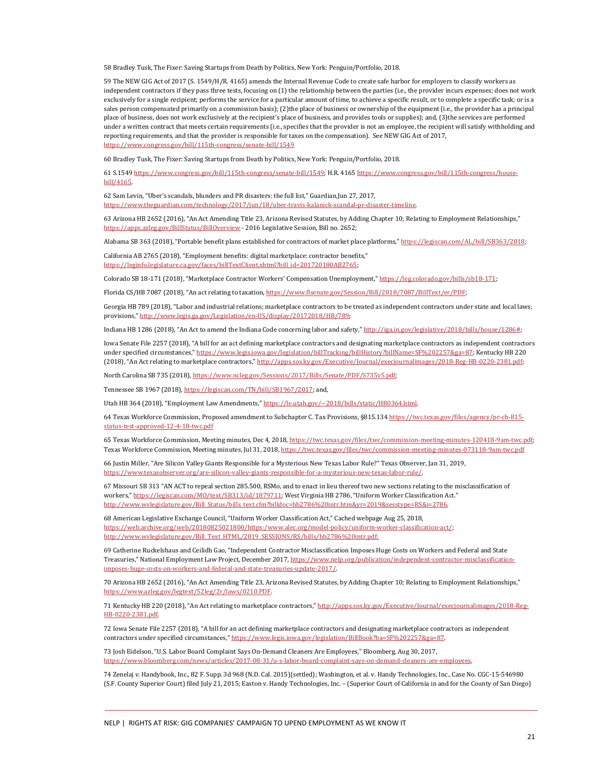<span id="page-20-0"></span>58 Bradley Tusk, The Fixer: Saving Startups from Death by Politics, New York: Penguin/Portfolio, 2018.

<span id="page-20-1"></span>59 The NEW GIG Act of 2017 (S. 1549/H/R. 4165) amends the Internal Revenue Code to create safe harbor for employers to classify workers as independent contractors if they pass three tests, focusing on (1) the relationship between the parties (i.e., the provider incurs expenses; does not work exclusively for a single recipient; performs the service for a particular amount of time, to achieve a specific result, or to complete a specific task; or is a sales person compensated primarily on a commission basis); (2)the place of business or ownership of the equipment (i.e., the provider has a principal place of business, does not work exclusively at the recipient's place of business, and provides tools or supplies); and, (3)the services are performed under a written contract that meets certain requirements (i.e., specifies that the provider is not an employee, the recipient will satisfy withholding and reporting requirements, and that the provider is responsible for taxes on the compensation). See NEW GIG Act of 2017, <https://www.congress.gov/bill/115th-congress/senate-bill/1549>

<span id="page-20-2"></span>60 Bradley Tusk, The Fixer: Saving Startups from Death by Politics, New York: Penguin/Portfolio, 2018.

<span id="page-20-3"></span>61 S.154[9 https://www.congress.gov/bill/115th-congress/senate-bill/1549;](https://www.congress.gov/bill/115th-congress/senate-bill/1549) H.R. 4165 https://www.congress.gov/bill/115th-congress/housebill/4165.

<span id="page-20-4"></span>62 Sam Levin, "Uber's scandals, blunders and PR disasters: the full list," Guardian,Jun 27, 2017, [https://www.theguardian.com/technology/2017/jun/18/uber-travis-kalanick-scandal-pr-disaster-timeline.](https://www.theguardian.com/technology/2017/jun/18/uber-travis-kalanick-scandal-pr-disaster-timeline) 

<span id="page-20-5"></span>63 Arizona HB 2652 (2016), "An Act Amending Title 23, Arizona Revised Statutes, by Adding Chapter 10; Relating to Employment Relationships," [https://apps.azleg.gov/BillStatus/BillOverview -](https://apps.azleg.gov/BillStatus/BillOverview) 2016 Legislative Session, Bill no. 2652;

Alabama SB 363 (2018), "Portable benefit plans established for contractors of market place platforms," https://legiscan.com/AL/bill/SB363/2018;

California AB 2765 (2018), "Employment benefits: digital marketplace: contractor benefits," https://leginfo.legislature.ca.gov/faces/billTextClient.xhtml?bill\_id=201720180AB2765;

Colorado SB 18-171 (2018), "Marketplace Contractor Workers' Compensation Unemployment," https://leg.colorado.gov/bills/sb18-171;

Florida CS/HB 7087 (2018), "An act relating to taxation, https://www.flsenate.gov/Session/Bill/2018/7087/BillText/er/PDF;

Georgia HB 789 (2018), "Labor and industrial relations; marketplace contractors to be treated as independent contractors under state and local laws; provisions,[" http://www.legis.ga.gov/Legislation/en-US/display/20172018/HB/789;](http://www.legis.ga.gov/Legislation/en-US/display/20172018/HB/789) 

Indiana HB 1286 (2018), "An Act to amend the Indiana Code concerning labor and safety,[" http://iga.in.gov/legislative/2018/bills/house/1286#;](http://iga.in.gov/legislative/2018/bills/house/1286)

Iowa Senate File 2257 (2018), "A bill for an act defining marketplace contractors and designating marketplace contractors as independent contractors under specified circumstances," [https://www.legis.iowa.gov/legislation/billTracking/billHistory?billName=SF%202257&ga=87;](https://www.legis.iowa.gov/legislation/billTracking/billHistory?billName=SF%202257&ga=87) Kentucky HB 220 (2018), "An Act relating to marketplace contractors,[" http://apps.sos.ky.gov/Executive/Journal/execjournalimages/2018-Reg-HB-0220-2381.pdf;](http://apps.sos.ky.gov/Executive/Journal/execjournalimages/2018-Reg-HB-0220-2381.pdf) 

North Carolina SB 735 (2018), https://www.ncleg.gov/Sessions/2017/Bills/Senate/PDF/S735v5.pdf;

Tennessee SB 1967 (2018)[, https://legiscan.com/TN/bill/SB1967/2017;](https://legiscan.com/TN/bill/SB1967/2017) and,

Utah HB 364 (2018), "Employment Law Amendments," https://le.utah.gov/~2018/bills/static/HB0364.html.

<span id="page-20-6"></span>64 Texas Workforce Commission, Proposed amendment to Subchapter C. Tax Provisions, §815.13[4 https://twc.texas.gov/files/agency/pr-ch-815](https://twc.texas.gov/files/agency/pr-ch-815-status-test-approved-12-4-18-twc.pdf) [status-test-approved-12-4-18-twc.pdf](https://twc.texas.gov/files/agency/pr-ch-815-status-test-approved-12-4-18-twc.pdf) 

<span id="page-20-7"></span>65 Texas Workforce Commission, Meeting minutes, Dec 4, 2018[, https://twc.texas.gov/files/twc/commission-meeting-minutes-120418-9am-twc.pdf;](https://twc.texas.gov/files/twc/commission-meeting-minutes-120418-9am-twc.pdf) Texas Workforce Commission, Meeting minutes, Jul 31, 2018, https://twc.texas.gov/files/twc/commission-meeting-minutes-073118-9am-twc.pdf

<span id="page-20-8"></span>66 Justin Miller, "Are Silicon Valley Giants Responsible for a Mysterious New Texas Labor Rule?" Texas Observer, Jan 31, 2019, [https://www.texasobserver.org/are-silicon-valley-giants-responsible-for-a-mysterious-new-texas-labor-rule/.](https://www.texasobserver.org/are-silicon-valley-giants-responsible-for-a-mysterious-new-texas-labor-rule/) 

<span id="page-20-9"></span>67 Missouri SB 313 "AN ACT to repeal section 285.500, RSMo, and to enact in lieu thereof two new sections relating to the misclassification of workers,[" https://legiscan.com/MO/text/SB313/id/1879711;](https://legiscan.com/MO/text/SB313/id/1879711) West Virginia HB 2786, "Uniform Worker Classification Act." [http://www.wvlegislature.gov/Bill\\_Status/bills\\_text.cfm?billdoc=hb2786%20intr.htm&yr=2019&sesstype=RS&i=2786.](http://www.wvlegislature.gov/Bill_Status/bills_text.cfm?billdoc=hb2786%20intr.htm&yr=2019&sesstype=RS&i=2786) 

<span id="page-20-10"></span>68 American Legislative Exchange Council, "Uniform Worker Classification Act," Cached webpage Aug 25, 2018, [https://web.archive.org/web/20180825021800/https:/www.alec.org/model-policy/uniform-worker-classification-act/;](https://web.archive.org/web/20180825021800/https:/www.alec.org/model-policy/uniform-worker-classification-act/)  [http://www.wvlegislature.gov/Bill\\_Text\\_HTML/2019\\_SESSIONS/RS/bills/hb2786%20intr.pdf;](http://www.wvlegislature.gov/Bill_Text_HTML/2019_SESSIONS/RS/bills/hb2786%20intr.pdf) 

<span id="page-20-11"></span>69 Catherine Ruckelshaus and Ceilidh Gao, "Independent Contractor Misclassification Imposes Huge Costs on Workers and Federal and State Treasuries," National Employment Law Project, December 2017[, https://www.nelp.org/publication/independent-contractor-misclassification](https://www.nelp.org/publication/independent-contractor-misclassification-imposes-huge-costs-on-workers-and-federal-and-state-treasuries-update-2017/)[imposes-huge-costs-on-workers-and-federal-and-state-treasuries-update-2017/.](https://www.nelp.org/publication/independent-contractor-misclassification-imposes-huge-costs-on-workers-and-federal-and-state-treasuries-update-2017/) 

<span id="page-20-12"></span>70 Arizona HB 2652 (2016), "An Act Amending Title 23, Arizona Revised Statutes, by Adding Chapter 10; Relating to Employment Relationships," [https://www.azleg.gov/legtext/52leg/2r/laws/0210.PDF.](https://www.azleg.gov/legtext/52leg/2r/laws/0210.PDF) 

<span id="page-20-13"></span>71 Kentucky HB 220 (2018), "An Act relating to marketplace contractors,[" http://apps.sos.ky.gov/Executive/Journal/execjournalimages/2018-Reg-](http://apps.sos.ky.gov/Executive/Journal/execjournalimages/2018-Reg-HB-0220-2381.pdf)[HB-0220-2381.pdf.](http://apps.sos.ky.gov/Executive/Journal/execjournalimages/2018-Reg-HB-0220-2381.pdf) 

<span id="page-20-14"></span>72 Iowa Senate File 2257 (2018), "A bill for an act defining marketplace contractors and designating marketplace contractors as independent contractors under specified circumstances," [https://www.legis.iowa.gov/legislation/BillBook?ba=SF%202257&ga=87.](https://www.legis.iowa.gov/legislation/BillBook?ba=SF%202257&ga=87) 

<span id="page-20-15"></span>73 Josh Eidelson, "U.S. Labor Board Complaint Says On-Demand Cleaners Are Employees," Bloomberg, Aug 30, 2017, https://www.bloomberg.com/news/articles/2017-08-31/u-s-labor-board-complaint-says-on-demand-cleaners-

<span id="page-20-16"></span>74 Zenelaj v. Handybook, Inc., 82 F. Supp. 3d 968 (N.D. Cal. 2015)(settled); Washington, et al. v. Handy Technologies, Inc., Case No. CGC-15-546980 (S.F. County Superior Court) filed July 21, 2015; Easton v. Handy Technologies, Inc. – (Superior Court of California in and for the County of San Diego)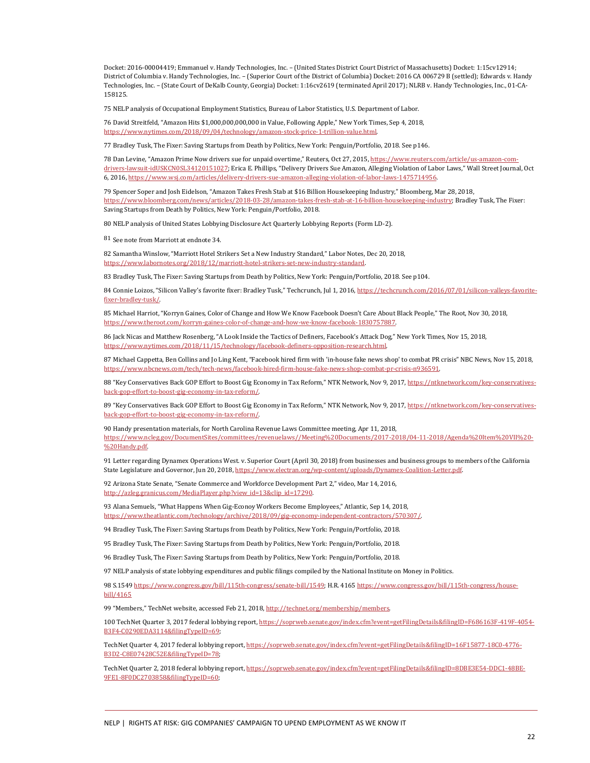Docket: 2016-00004419; Emmanuel v. Handy Technologies, Inc. – (United States District Court District of Massachusetts) Docket: 1:15cv12914; District of Columbia v. Handy Technologies, Inc. – (Superior Court of the District of Columbia) Docket: 2016 CA 006729 B (settled); Edwards v. Handy Technologies, Inc. – (State Court of DeKalb County, Georgia) Docket: 1:16cv2619 (terminated April 2017); NLRB v. Handy Technologies, Inc., 01-CA-158125.

<span id="page-21-0"></span>75 NELP analysis of Occupational Employment Statistics, Bureau of Labor Statistics, U.S. Department of Labor.

<span id="page-21-1"></span>76 David Streitfeld, "Amazon Hits \$1,000,000,000,000 in Value, Following Apple," New York Times, Sep 4, 2018, [https://www.nytimes.com/2018/09/04/technology/amazon-stock-price-1-trillion-value.html.](https://www.nytimes.com/2018/09/04/technology/amazon-stock-price-1-trillion-value.html) 

<span id="page-21-2"></span>77 Bradley Tusk, The Fixer: Saving Startups from Death by Politics, New York: Penguin/Portfolio, 2018. See p146.

<span id="page-21-3"></span>78 Dan Levine, "Amazon Prime Now drivers sue for unpaid overtime," Reuters, Oct 27, 2015[, https://www.reuters.com/article/us-amazon-com](https://www.reuters.com/article/us-amazon-com-drivers-lawsuit-idUSKCN0SL34120151027)[drivers-lawsuit-idUSKCN0SL34120151027;](https://www.reuters.com/article/us-amazon-com-drivers-lawsuit-idUSKCN0SL34120151027) Erica E. Phillips, "Delivery Drivers Sue Amazon, Alleging Violation of Labor Laws," Wall Street Journal, Oct 6, 2016[, https://www.wsj.com/articles/delivery-drivers-sue-amazon-alleging-violation-of-labor-laws-1475714956.](https://www.wsj.com/articles/delivery-drivers-sue-amazon-alleging-violation-of-labor-laws-1475714956) 

<span id="page-21-4"></span>79 Spencer Soper and Josh Eidelson, "Amazon Takes Fresh Stab at \$16 Billion Housekeeping Industry," Bloomberg, Mar 28, 2018, [https://www.bloomberg.com/news/articles/2018-03-28/amazon-takes-fresh-stab-at-16-billion-housekeeping-industry;](https://www.bloomberg.com/news/articles/2018-03-28/amazon-takes-fresh-stab-at-16-billion-housekeeping-industry) Bradley Tusk, The Fixer: Saving Startups from Death by Politics, New York: Penguin/Portfolio, 2018.

<span id="page-21-5"></span>80 NELP analysis of United States Lobbying Disclosure Act Quarterly Lobbying Reports (Form LD-2).

<span id="page-21-6"></span>81 See note from Marriott at endnote 34.

<span id="page-21-7"></span>82 Samantha Winslow, "Marriott Hotel Strikers Set a New Industry Standard," Labor Notes, Dec 20, 2018, [https://www.labornotes.org/2018/12/marriott-hotel-strikers-set-new-industry-standard.](https://www.labornotes.org/2018/12/marriott-hotel-strikers-set-new-industry-standard) 

<span id="page-21-8"></span>83 Bradley Tusk, The Fixer: Saving Startups from Death by Politics, New York: Penguin/Portfolio, 2018. See p104.

<span id="page-21-9"></span>84 Connie Loizos, "Silicon Valley's favorite fixer: Bradley Tusk," Techcrunch, Jul 1, 2016[, https://techcrunch.com/2016/07/01/silicon-valleys-favorite](https://techcrunch.com/2016/07/01/silicon-valleys-favorite-fixer-bradley-tusk/)[fixer-bradley-tusk/.](https://techcrunch.com/2016/07/01/silicon-valleys-favorite-fixer-bradley-tusk/) 

<span id="page-21-10"></span>85 Michael Harriot, "Korryn Gaines, Color of Change and How We Know Facebook Doesn't Care About Black People," The Root, Nov 30, 2018, [https://www.theroot.com/korryn-gaines-color-of-change-and-how-we-know-facebook-1830757887.](https://www.theroot.com/korryn-gaines-color-of-change-and-how-we-know-facebook-1830757887) 

<span id="page-21-11"></span>86 Jack Nicas and Matthew Rosenberg, "A Look Inside the Tactics of Definers, Facebook's Attack Dog," New York Times, Nov 15, 2018, [https://www.nytimes.com/2018/11/15/technology/facebook-definers-opposition-research.html.](https://www.nytimes.com/2018/11/15/technology/facebook-definers-opposition-research.html) 

<span id="page-21-12"></span>87 Michael Cappetta, Ben Collins and Jo Ling Kent, "Facebook hired firm with 'in-house fake news shop' to combat PR crisis" NBC News, Nov 15, 2018, [https://www.nbcnews.com/tech/tech-news/facebook-hired-firm-house-fake-news-shop-combat-pr-crisis-n936591.](https://www.nbcnews.com/tech/tech-news/facebook-hired-firm-house-fake-news-shop-combat-pr-crisis-n936591) 

<span id="page-21-13"></span>88 "Key Conservatives Back GOP Effort to Boost Gig Economy in Tax Reform," NTK Network, Nov 9, 2017[, https://ntknetwork.com/key-conservatives](https://ntknetwork.com/key-conservatives-back-gop-effort-to-boost-gig-economy-in-tax-reform/)[back-gop-effort-to-boost-gig-economy-in-tax-reform/.](https://ntknetwork.com/key-conservatives-back-gop-effort-to-boost-gig-economy-in-tax-reform/) 

<span id="page-21-14"></span>89 "Key Conservatives Back GOP Effort to Boost Gig Economy in Tax Reform," NTK Network, Nov 9, 2017[, https://ntknetwork.com/key-conservatives](https://ntknetwork.com/key-conservatives-back-gop-effort-to-boost-gig-economy-in-tax-reform/)[back-gop-effort-to-boost-gig-economy-in-tax-reform/.](https://ntknetwork.com/key-conservatives-back-gop-effort-to-boost-gig-economy-in-tax-reform/) 

<span id="page-21-15"></span>90 Handy presentation materials, for North Carolina Revenue Laws Committee meeting, Apr 11, 2018, [https://www.ncleg.gov/DocumentSites/committees/revenuelaws//Meeting%20Documents/2017-2018/04-11-2018/Agenda%20Item%20VII%20-](https://www.ncleg.gov/DocumentSites/committees/revenuelaws/Meeting%20Documents/2017-2018/04-11-2018/Agenda%20Item%20VII%20-%20Handy.pdf) [%20Handy.pdf.](https://www.ncleg.gov/DocumentSites/committees/revenuelaws/Meeting%20Documents/2017-2018/04-11-2018/Agenda%20Item%20VII%20-%20Handy.pdf) 

<span id="page-21-16"></span>91 Letter regarding Dynamex Operations West. v. Superior Court (April 30, 2018) from businesses and business groups to members of the California State Legislature and Governor, Jun 20, 2018[, https://www.electran.org/wp-content/uploads/Dynamex-Coalition-Letter.pdf.](https://www.electran.org/wp-content/uploads/Dynamex-Coalition-Letter.pdf) 

<span id="page-21-17"></span>92 Arizona State Senate, "Senate Commerce and Workforce Development Part 2," video, Mar 14, 2016, [http://azleg.granicus.com/MediaPlayer.php?view\\_id=13&clip\\_id=17290.](http://azleg.granicus.com/MediaPlayer.php?view_id=13&clip_id=17290) 

<span id="page-21-18"></span>93 Alana Semuels, "What Happens When Gig-Econoy Workers Become Employees," Atlantic, Sep 14, 2018, [https://www.theatlantic.com/technology/archive/2018/09/gig-economy-independent-contractors/570307/.](https://www.theatlantic.com/technology/archive/2018/09/gig-economy-independent-contractors/570307/) 

<span id="page-21-19"></span>94 Bradley Tusk, The Fixer: Saving Startups from Death by Politics, New York: Penguin/Portfolio, 2018.

<span id="page-21-20"></span>95 Bradley Tusk, The Fixer: Saving Startups from Death by Politics, New York: Penguin/Portfolio, 2018.

<span id="page-21-21"></span>96 Bradley Tusk, The Fixer: Saving Startups from Death by Politics, New York: Penguin/Portfolio, 2018.

<span id="page-21-22"></span>97 NELP analysis of state lobbying expenditures and public filings compiled by the National Institute on Money in Politics.

<span id="page-21-23"></span>98 S.154[9 https://www.congress.gov/bill/115th-congress/senate-bill/1549;](https://www.congress.gov/bill/115th-congress/senate-bill/1549) H.R. 4165 https://www.congress.gov/bill/115th-congress/housebill/4165

<span id="page-21-24"></span>99 "Members," TechNet website, accessed Feb 21, 2018, http://technet.org/membership/members.

<span id="page-21-25"></span>100 TechNet Quarter 3, 2017 federal lobbying report[, https://soprweb.senate.gov/index.cfm?event=getFilingDetails&filingID=F686163F-419F-4054-](https://soprweb.senate.gov/index.cfm?event=getFilingDetails&filingID=F686163F-419F-4054-B3F4-C0290EDA3114&filingTypeID=69) [B3F4-C0290EDA3114&filingTypeID=69;](https://soprweb.senate.gov/index.cfm?event=getFilingDetails&filingID=F686163F-419F-4054-B3F4-C0290EDA3114&filingTypeID=69) 

TechNet Quarter 4, 2017 federal lobbying report[, https://soprweb.senate.gov/index.cfm?event=getFilingDetails&filingID=16F15877-18C0-4776-](https://soprweb.senate.gov/index.cfm?event=getFilingDetails&filingID=16F15877-18C0-4776-B3D2-C8E07428C52E&filingTypeID=78) [B3D2-C8E07428C52E&filingTypeID=78;](https://soprweb.senate.gov/index.cfm?event=getFilingDetails&filingID=16F15877-18C0-4776-B3D2-C8E07428C52E&filingTypeID=78) 

TechNet Quarter 2, 2018 federal lobbying report[, https://soprweb.senate.gov/index.cfm?event=getFilingDetails&filingID=8DBE3E54-DDC1-48BE-](https://soprweb.senate.gov/index.cfm?event=getFilingDetails&filingID=8DBE3E54-DDC1-48BE-9FE1-8F0DC2703858&filingTypeID=60)[9FE1-8F0DC2703858&filingTypeID=60;](https://soprweb.senate.gov/index.cfm?event=getFilingDetails&filingID=8DBE3E54-DDC1-48BE-9FE1-8F0DC2703858&filingTypeID=60)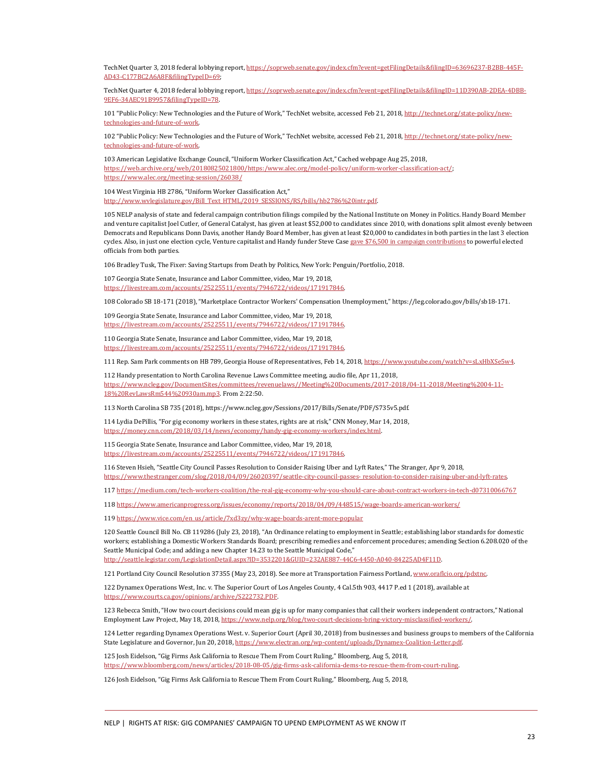TechNet Quarter 3, 2018 federal lobbying report[, https://soprweb.senate.gov/index.cfm?event=getFilingDetails&filingID=63696237-B2BB-445F-](https://soprweb.senate.gov/index.cfm?event=getFilingDetails&filingID=63696237-B2BB-445F-AD43-C177BC2A6A8F&filingTypeID=69)[AD43-C177BC2A6A8F&filingTypeID=69;](https://soprweb.senate.gov/index.cfm?event=getFilingDetails&filingID=63696237-B2BB-445F-AD43-C177BC2A6A8F&filingTypeID=69) 

TechNet Quarter 4, 2018 federal lobbying report[, https://soprweb.senate.gov/index.cfm?event=getFilingDetails&filingID=11D390AB-2DEA-4DBB-](https://soprweb.senate.gov/index.cfm?event=getFilingDetails&filingID=11D390AB-2DEA-4DBB-9EF6-34AEC91B9957&filingTypeID=78)[9EF6-34AEC91B9957&filingTypeID=78.](https://soprweb.senate.gov/index.cfm?event=getFilingDetails&filingID=11D390AB-2DEA-4DBB-9EF6-34AEC91B9957&filingTypeID=78) 

<span id="page-22-0"></span>101 "Public Policy: New Technologies and the Future of Work," TechNet website, accessed Feb 21, 2018[, http://technet.org/state-policy/new](http://technet.org/state-policy/new-technologies-and-future-of-work)[technologies-and-future-of-work.](http://technet.org/state-policy/new-technologies-and-future-of-work) 

<span id="page-22-1"></span>102 "Public Policy: New Technologies and the Future of Work," TechNet website, accessed Feb 21, 2018[, http://technet.org/state-policy/new](http://technet.org/state-policy/new-technologies-and-future-of-work)[technologies-and-future-of-work.](http://technet.org/state-policy/new-technologies-and-future-of-work) 

<span id="page-22-2"></span>103 American Legislative Exchange Council, "Uniform Worker Classification Act," Cached webpage Aug 25, 2018, [https://web.archive.org/web/20180825021800/https:/www.alec.org/model-policy/uniform-worker-classification-act/;](https://web.archive.org/web/20180825021800/https:/www.alec.org/model-policy/uniform-worker-classification-act/)  <https://www.alec.org/meeting-session/26038/>

<span id="page-22-3"></span>104 West Virginia HB 2786, "Uniform Worker Classification Act," http://www.wvlegislature.gov/Bill\_Text\_HTML/2019\_SESSIONS/RS/bills/hb2786%20intr.pdf.

<span id="page-22-4"></span>105 NELP analysis of state and federal campaign contribution filings compiled by the National Institute on Money in Politics. Handy Board Member and venture capitalist Joel Cutler, of General Catalyst, has given at least \$52,000 to candidates since 2010, with donations split almost evenly between Democrats and Republicans Donn Davis, another Handy Board Member, has given at least \$20,000 to candidates in both parties in the last 3 election cycles. Also, in just one election cycle, Venture capitalist and Handy funder Steve Cas[e gave \\$76,500 in campaign contributions](https://www.publicintegrity.org/2013/06/24/12891/obama-includes-dem-donors-ceo-gathering) to powerful elected officials from both parties.

<span id="page-22-5"></span>106 Bradley Tusk, The Fixer: Saving Startups from Death by Politics, New York: Penguin/Portfolio, 2018.

<span id="page-22-6"></span>107 Georgia State Senate, Insurance and Labor Committee, video, Mar 19, 2018, [https://livestream.com/accounts/25225511/events/7946722/videos/171917846.](https://livestream.com/accounts/25225511/events/7946722/videos/171917846) 

<span id="page-22-7"></span>108 Colorado SB 18-171 (2018), "Marketplace Contractor Workers' Compensation Unemployment," https://leg.colorado.gov/bills/sb18-171.

<span id="page-22-8"></span>109 Georgia State Senate, Insurance and Labor Committee, video, Mar 19, 2018, estream.com/accounts/25225511/events/7946722/videos/171917846.

<span id="page-22-9"></span>110 Georgia State Senate, Insurance and Labor Committee, video, Mar 19, 2018, [https://livestream.com/accounts/25225511/events/7946722/videos/171917846.](https://livestream.com/accounts/25225511/events/7946722/videos/171917846) 

<span id="page-22-10"></span>111 Rep. Sam Park comments on HB 789, Georgia House of Representatives, Feb 14, 2018[, https://www.youtube.com/watch?v=sLxHbXSe5w4.](https://www.youtube.com/watch?v=sLxHbXSe5w4) 

<span id="page-22-11"></span>112 Handy presentation to North Carolina Revenue Laws Committee meeting, audio file, Apr 11, 2018, [https://www.ncleg.gov/DocumentSites/committees/revenuelaws//Meeting%20Documents/2017-2018/04-11-2018/Meeting%2004-11-](https://www.ncleg.gov/DocumentSites/committees/revenuelaws/Meeting%20Documents/2017-2018/04-11-2018/Meeting%2004-11-18%20RevLawsRm544%20930am.mp3) [18%20RevLawsRm544%20930am.mp3.](https://www.ncleg.gov/DocumentSites/committees/revenuelaws/Meeting%20Documents/2017-2018/04-11-2018/Meeting%2004-11-18%20RevLawsRm544%20930am.mp3) From 2:22:50.

<span id="page-22-12"></span>113 North Carolina SB 735 (2018), https://www.ncleg.gov/Sessions/2017/Bills/Senate/PDF/S735v5.pdf.

<span id="page-22-13"></span>114 Lydia DePillis, "For gig economy workers in these states, rights are at risk," CNN Money, Mar 14, 2018, [https://money.cnn.com/2018/03/14/news/economy/handy-gig-economy-workers/index.html.](https://money.cnn.com/2018/03/14/news/economy/handy-gig-economy-workers/index.html) 

<span id="page-22-14"></span>115 Georgia State Senate, Insurance and Labor Committee, video, Mar 19, 2018, [https://livestream.com/accounts/25225511/events/7946722/videos/171917846.](https://livestream.com/accounts/25225511/events/7946722/videos/171917846) 

<span id="page-22-15"></span>116 Steven Hsieh, "Seattle City Council Passes Resolution to Consider Raising Uber and Lyft Rates," The Stranger, Apr 9, 2018, https://www.thestranger.com/slog/2018/04/09/26020397/seattle-city-council-passes- resolution-to-consider-raising-uber-and-lyft-rates.

117 <https://medium.com/tech-workers-coalition/the-real-gig-economy-why-you-should-care-about-contract-workers-in-tech-d07310066767>

<span id="page-22-18"></span><span id="page-22-17"></span><span id="page-22-16"></span>118 <https://www.americanprogress.org/issues/economy/reports/2018/04/09/448515/wage-boards-american-workers/>

119 [https://www.vice.com/en\\_us/article/7xd3zy/why-wage-boards-arent-more-popular](https://www.vice.com/en_us/article/7xd3zy/why-wage-boards-arent-more-popular) 

<span id="page-22-19"></span>120 Seattle Council Bill No. CB 119286 (July 23, 2018), "An Ordinance relating to employment in Seattle; establishing labor standards for domestic workers; establishing a Domestic Workers Standards Board; prescribing remedies and enforcement procedures; amending Section 6.208.020 of the Seattle Municipal Code; and adding a new Chapter 14.23 to the Seattle Municipal Code," http://seattle.legistar.com/LegislationDetail.aspx?ID=3532201&GUID=232AE887-44C6-4450-A040-84225AD4F11D.

<span id="page-22-20"></span>121 Portland City Council Resolution 37355 (May 23, 2018). See more at Transportation Fairness Portland, www.oraflcio.org/pdxtnc.

<span id="page-22-21"></span>122 Dynamex Operations West, Inc. v. The Superior Court of Los Angeles County, 4 Cal.5th 903, 4417 P.ed 1 (2018), available at https://www.courts.ca.gov/opinions/archive/S222732.PDF.

<span id="page-22-22"></span>123 Rebecca Smith, "How two court decisions could mean gig is up for many companies that call their workers independent contractors," National Employment Law Project, May 18, 2018[, https://www.nelp.org/blog/two-court-decisions-bring-victory-misclassified-workers/.](https://www.nelp.org/blog/two-court-decisions-bring-victory-misclassified-workers/) 

<span id="page-22-23"></span>124 Letter regarding Dynamex Operations West. v. Superior Court (April 30, 2018) from businesses and business groups to members of the California State Legislature and Governor, Jun 20, 2018[, https://www.electran.org/wp-content/uploads/Dynamex-Coalition-Letter.pdf.](https://www.electran.org/wp-content/uploads/Dynamex-Coalition-Letter.pdf) 

<span id="page-22-24"></span>125 Josh Eidelson, "Gig Firms Ask California to Rescue Them From Court Ruling," Bloomberg, Aug 5, 2018, [https://www.bloomberg.com/news/articles/2018-08-05/gig-firms-ask-california-dems-to-rescue-them-from-court-ruling.](https://www.bloomberg.com/news/articles/2018-08-05/gig-firms-ask-california-dems-to-rescue-them-from-court-ruling) 

<span id="page-22-25"></span>126 Josh Eidelson, "Gig Firms Ask California to Rescue Them From Court Ruling," Bloomberg, Aug 5, 2018,